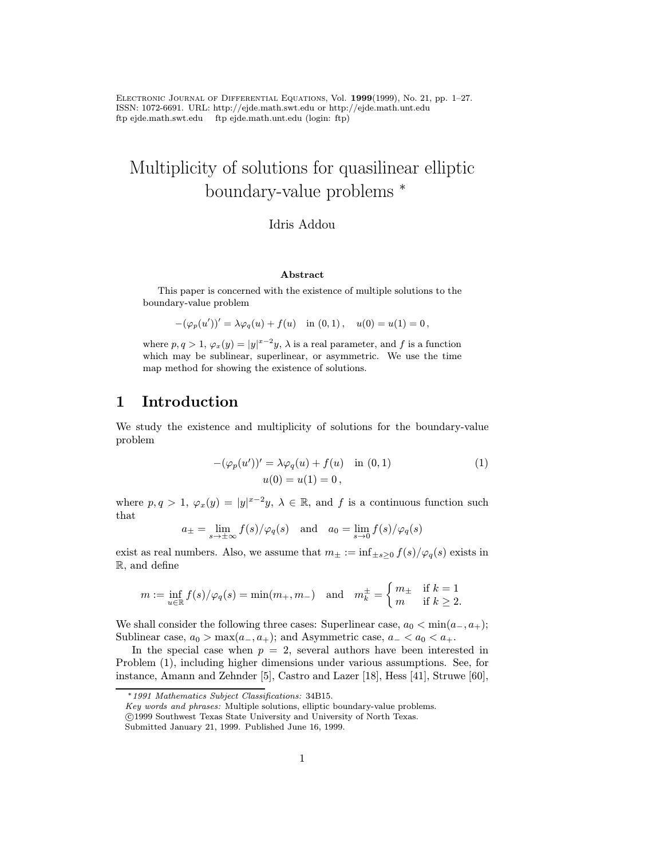Electronic Journal of Differential Equations, Vol. 1999(1999), No. 21, pp. 1–27. ISSN: 1072-6691. URL: http://ejde.math.swt.edu or http://ejde.math.unt.edu ftp ejde.math.swt.edu ftp ejde.math.unt.edu (login: ftp)

# Multiplicity of solutions for quasilinear elliptic boundary-value problems <sup>∗</sup>

### Idris Addou

### Abstract

This paper is concerned with the existence of multiple solutions to the boundary-value problem

$$
-(\varphi_p(u'))' = \lambda \varphi_q(u) + f(u) \text{ in } (0,1), \quad u(0) = u(1) = 0,
$$

where  $p, q > 1, \varphi_x(y) = |y|^{x-2}y$ ,  $\lambda$  is a real parameter, and f is a function which may be sublinear, superlinear, or asymmetric. We use the time map method for showing the existence of solutions.

# 1 Introduction

We study the existence and multiplicity of solutions for the boundary-value problem

$$
-(\varphi_p(u'))' = \lambda \varphi_q(u) + f(u) \quad \text{in } (0,1)
$$
  
 
$$
u(0) = u(1) = 0,
$$
 (1)

where  $p, q > 1$ ,  $\varphi_x(y) = |y|^{x-2}y$ ,  $\lambda \in \mathbb{R}$ , and f is a continuous function such that

$$
a_{\pm} = \lim_{s \to \pm \infty} f(s) / \varphi_q(s)
$$
 and  $a_0 = \lim_{s \to 0} f(s) / \varphi_q(s)$ 

exist as real numbers. Also, we assume that  $m_{\pm} := \inf_{\pm s > 0} f(s)/\varphi_q(s)$  exists in R, and define

$$
m := \inf_{u \in \mathbb{R}} f(s) / \varphi_q(s) = \min(m_+, m_-) \quad \text{and} \quad m_k^{\pm} = \begin{cases} m_{\pm} & \text{if } k = 1 \\ m & \text{if } k \ge 2. \end{cases}
$$

We shall consider the following three cases: Superlinear case,  $a_0 < \min(a_-, a_+)$ ; Sublinear case,  $a_0 > \max(a_-, a_+)$ ; and Asymmetric case,  $a_- < a_0 < a_+$ .

In the special case when  $p = 2$ , several authors have been interested in Problem (1), including higher dimensions under various assumptions. See, for instance, Amann and Zehnder [5], Castro and Lazer [18], Hess [41], Struwe [60],

Key words and phrases: Multiple solutions, elliptic boundary-value problems.

<sup>∗</sup>1991 Mathematics Subject Classifications: 34B15.

c 1999 Southwest Texas State University and University of North Texas.

Submitted January 21, 1999. Published June 16, 1999.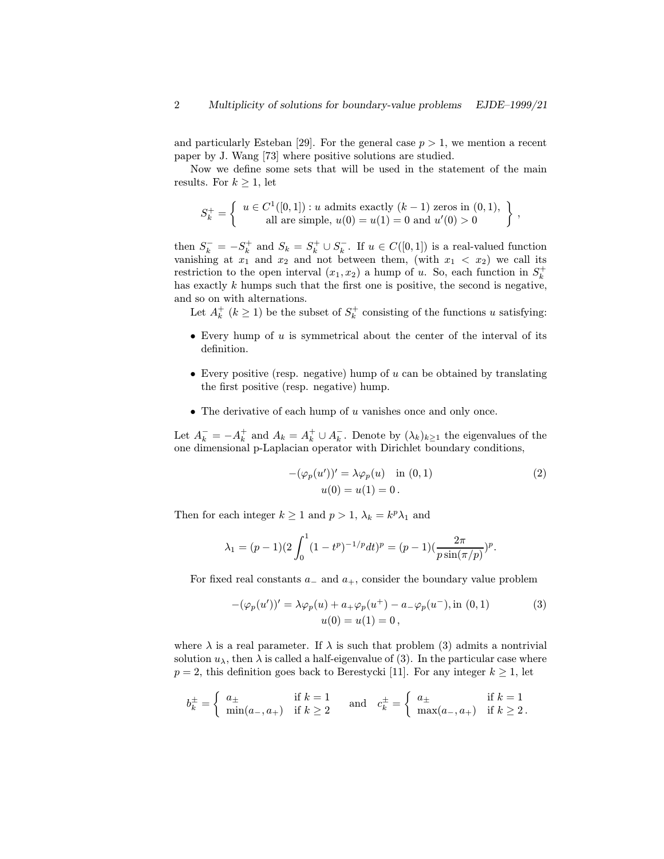and particularly Esteban [29]. For the general case  $p > 1$ , we mention a recent paper by J. Wang [73] where positive solutions are studied.

Now we define some sets that will be used in the statement of the main results. For  $k \geq 1$ , let

$$
S_k^+ = \left\{ \begin{array}{c} u \in C^1([0,1]) : u \text{ admits exactly } (k-1) \text{ zeros in } (0,1), \\ \text{all are simple, } u(0) = u(1) = 0 \text{ and } u'(0) > 0 \end{array} \right\},
$$

then  $S_k^- = -S_k^+$  and  $S_k = S_k^+ \cup S_k^-$ . If  $u \in C([0,1])$  is a real-valued function vanishing at  $x_1$  and  $x_2$  and not between them, (with  $x_1 < x_2$ ) we call its restriction to the open interval  $(x_1, x_2)$  a hump of u. So, each function in  $S_k^+$ has exactly  $k$  humps such that the first one is positive, the second is negative, and so on with alternations.

Let  $A_k^+$  ( $k \geq 1$ ) be the subset of  $S_k^+$  consisting of the functions u satisfying:

- Every hump of  $u$  is symmetrical about the center of the interval of its definition.
- Every positive (resp. negative) hump of  $u$  can be obtained by translating the first positive (resp. negative) hump.
- The derivative of each hump of  $u$  vanishes once and only once.

Let  $A_k^- = -A_k^+$  and  $A_k = A_k^+ \cup A_k^-$ . Denote by  $(\lambda_k)_{k\geq 1}$  the eigenvalues of the one dimensional p-Laplacian operator with Dirichlet boundary conditions,

$$
-(\varphi_p(u'))' = \lambda \varphi_p(u) \quad \text{in } (0,1)
$$
  
 
$$
u(0) = u(1) = 0.
$$
 (2)

Then for each integer  $k \ge 1$  and  $p > 1$ ,  $\lambda_k = k^p \lambda_1$  and

$$
\lambda_1 = (p-1)(2\int_0^1 (1-t^p)^{-1/p} dt)^p = (p-1)\left(\frac{2\pi}{p\sin(\pi/p)}\right)^p.
$$

For fixed real constants  $a_-\text{ and } a_+$ , consider the boundary value problem

$$
-(\varphi_p(u'))' = \lambda \varphi_p(u) + a_+\varphi_p(u^+) - a_-\varphi_p(u^-), \text{in } (0, 1)
$$
  
 
$$
u(0) = u(1) = 0,
$$
 (3)

where  $\lambda$  is a real parameter. If  $\lambda$  is such that problem (3) admits a nontrivial solution  $u_{\lambda}$ , then  $\lambda$  is called a half-eigenvalue of (3). In the particular case where  $p = 2$ , this definition goes back to Berestycki [11]. For any integer  $k \geq 1$ , let

$$
b_k^{\pm} = \begin{cases} a_{\pm} & \text{if } k = 1 \\ \min(a_{-}, a_{+}) & \text{if } k \ge 2 \end{cases} \quad \text{and} \quad c_k^{\pm} = \begin{cases} a_{\pm} & \text{if } k = 1 \\ \max(a_{-}, a_{+}) & \text{if } k \ge 2 \end{cases}.
$$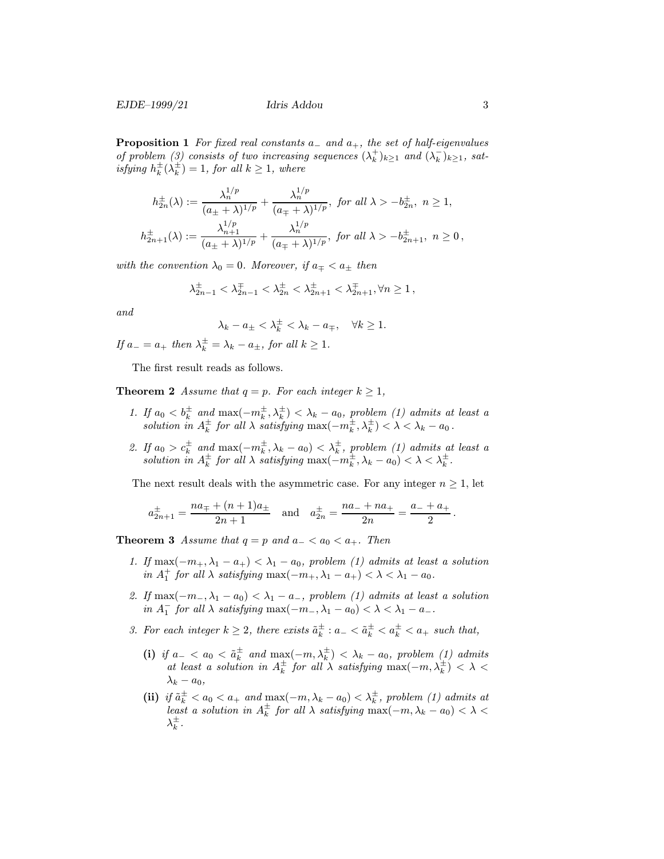**Proposition 1** For fixed real constants  $a_$  and  $a_+$ , the set of half-eigenvalues of problem (3) consists of two increasing sequences  $(\lambda_k^+)_{k\geq 1}$  and  $(\lambda_k^-)_{k\geq 1}$ , satisfying  $h_k^{\pm}(\lambda_k^{\pm})=1$ , for all  $k \geq 1$ , where

$$
h_{2n}^{\pm}(\lambda) := \frac{\lambda_n^{1/p}}{(a_{\pm} + \lambda)^{1/p}} + \frac{\lambda_n^{1/p}}{(a_{\mp} + \lambda)^{1/p}}, \text{ for all } \lambda > -b_{2n}^{\pm}, n \ge 1,
$$
  

$$
h_{2n+1}^{\pm}(\lambda) := \frac{\lambda_{n+1}^{1/p}}{(a_{\pm} + \lambda)^{1/p}} + \frac{\lambda_n^{1/p}}{(a_{\mp} + \lambda)^{1/p}}, \text{ for all } \lambda > -b_{2n+1}^{\pm}, n \ge 0,
$$

with the convention  $\lambda_0 = 0$ . Moreover, if  $a_{\pm} < a_{\pm}$  then

$$
\lambda_{2n-1}^{\pm} < \lambda_{2n-1}^{\mp} < \lambda_{2n}^{\pm} < \lambda_{2n+1}^{\pm} < \lambda_{2n+1}^{\mp}, \forall n \ge 1,
$$

and

 $\overline{1}$ 

$$
\lambda_k - a_{\pm} < \lambda_k^{\pm} < \lambda_k - a_{\mp}, \quad \forall k \ge 1.
$$

If  $a_-=a_+$  then  $\lambda_k^{\pm}=\lambda_k-a_{\pm}$ , for all  $k\geq 1$ .

The first result reads as follows.

**Theorem 2** Assume that  $q = p$ . For each integer  $k \geq 1$ ,

- 1. If  $a_0 < b_k^{\pm}$  and  $\max(-m_k^{\pm}, \lambda_k^{\pm}) < \lambda_k a_0$ , problem (1) admits at least a solution in  $A_k^{\pm}$  for all  $\lambda$  satisfying  $\max(-m_k^{\pm}, \lambda_k^{\pm}) < \lambda < \lambda_k - a_0$ .
- 2. If  $a_0 > c_k^{\pm}$  and  $\max(-m_k^{\pm}, \lambda_k a_0) < \lambda_k^{\pm}$ , problem (1) admits at least a solution in  $A_k^{\pm}$  for all  $\lambda$  satisfying  $\max(-m_k^{\pm}, \lambda_k - a_0) < \lambda < \lambda_k^{\pm}$ .

The next result deals with the asymmetric case. For any integer  $n \geq 1$ , let

$$
a_{2n+1}^{\pm} = \frac{na_{\mp} + (n+1)a_{\pm}}{2n+1}
$$
 and  $a_{2n}^{\pm} = \frac{na_{-} + na_{+}}{2n} = \frac{a_{-} + a_{+}}{2}$ .

**Theorem 3** Assume that  $q = p$  and  $a_{-} < a_0 < a_{+}$ . Then

- 1. If  $\max(-m_+, \lambda_1 a_+) < \lambda_1 a_0$ , problem (1) admits at least a solution in  $A_1^+$  for all  $\lambda$  satisfying  $\max(-m_+, \lambda_1 - a_+) < \lambda < \lambda_1 - a_0$ .
- 2. If  $\max(-m_-, \lambda_1 a_0) < \lambda_1 a_-,$  problem (1) admits at least a solution in  $A_1^-$  for all  $\lambda$  satisfying  $\max(-m_-, \lambda_1 - a_0) < \lambda < \lambda_1 - a_-$ .
- 3. For each integer  $k \geq 2$ , there exists  $\tilde{a}_k^{\pm} : a_- < \tilde{a}_k^{\pm} < a_k^{\pm} < a_+$  such that,
	- (i) if  $a_- < a_0 < \tilde{a}_k^{\pm}$  and  $\max(-m, \lambda_k^{\pm}) < \lambda_k a_0$ , problem (1) admits at least a solution in  $A_k^{\pm}$  for all  $\lambda$  satisfying  $\max(-m, \lambda_k^{\pm}) < \lambda <$  $\lambda_k - a_0$
	- (ii) if  $\tilde{a}_k^{\pm} < a_0 < a_+$  and  $\max(-m, \lambda_k a_0) < \lambda_k^{\pm}$ , problem (1) admits at least a solution in  $A_k^{\pm}$  for all  $\lambda$  satisfying  $\max(-m, \lambda_k - a_0) < \lambda <$  $\lambda_k^{\pm}$  .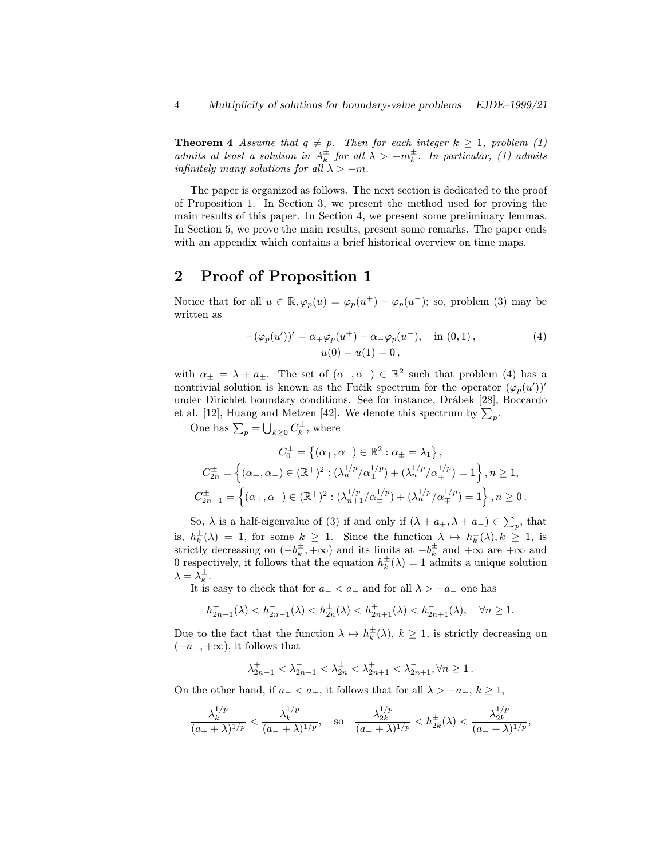**Theorem 4** Assume that  $q \neq p$ . Then for each integer  $k \geq 1$ , problem (1) admits at least a solution in  $A_k^{\pm}$  for all  $\lambda > -m_k^{\pm}$ . In particular, (1) admits infinitely many solutions for all  $\lambda > -m$ .

The paper is organized as follows. The next section is dedicated to the proof of Proposition 1. In Section 3, we present the method used for proving the main results of this paper. In Section 4, we present some preliminary lemmas. In Section 5, we prove the main results, present some remarks. The paper ends with an appendix which contains a brief historical overview on time maps.

### 2 Proof of Proposition 1

Notice that for all  $u \in \mathbb{R}, \varphi_p(u) = \varphi_p(u^+) - \varphi_p(u^-)$ ; so, problem (3) may be written as

$$
-(\varphi_p(u'))' = \alpha_+\varphi_p(u^+) - \alpha_-\varphi_p(u^-), \text{ in } (0,1),
$$
  
 
$$
u(0) = u(1) = 0,
$$
 (4)

with  $\alpha_{\pm} = \lambda + a_{\pm}$ . The set of  $(\alpha_{+}, \alpha_{-}) \in \mathbb{R}^{2}$  such that problem (4) has a nontrivial solution is known as the Fučik spectrum for the operator  $(\varphi_p(u'))'$ under Dirichlet boundary conditions. See for instance, Drábek [28], Boccardo et al. [12], Huang and Metzen [42]. We denote this spectrum by  $\sum_{p}$ .

One has  $\sum_{p} = \bigcup_{k \geq 0} C_k^{\pm}$ , where

$$
C_{0}^{\pm} = \left\{ (\alpha_{+}, \alpha_{-}) \in \mathbb{R}^{2} : \alpha_{\pm} = \lambda_{1} \right\},
$$
  
\n
$$
C_{2n}^{\pm} = \left\{ (\alpha_{+}, \alpha_{-}) \in (\mathbb{R}^{+})^{2} : (\lambda_{n}^{1/p}/\alpha_{\pm}^{1/p}) + (\lambda_{n}^{1/p}/\alpha_{\mp}^{1/p}) = 1 \right\}, n \ge 1,
$$
  
\n
$$
C_{2n+1}^{\pm} = \left\{ (\alpha_{+}, \alpha_{-}) \in (\mathbb{R}^{+})^{2} : (\lambda_{n+1}^{1/p}/\alpha_{\pm}^{1/p}) + (\lambda_{n}^{1/p}/\alpha_{\mp}^{1/p}) = 1 \right\}, n \ge 0.
$$

So,  $\lambda$  is a half-eigenvalue of (3) if and only if  $(\lambda + a_+, \lambda + a_-) \in \sum_p$ , that is,  $h_k^{\pm}(\lambda) = 1$ , for some  $k \geq 1$ . Since the function  $\lambda \mapsto h_k^{\pm}(\lambda), k \geq 1$ , is strictly decreasing on  $(-b_k^{\pm}, +\infty)$  and its limits at  $-b_k^{\pm}$  and  $+\infty$  are  $+\infty$  and 0 respectively, it follows that the equation  $h_k^{\pm}(\lambda) = 1$  admits a unique solution  $\lambda = \lambda_k^{\pm}$ .

It is easy to check that for  $a_-\lt a_+$  and for all  $\lambda>-a_-\,$  one has

$$
h_{2n-1}^{+}(\lambda) < h_{2n-1}^{-}(\lambda) < h_{2n}^{+}(\lambda) < h_{2n+1}^{-}(\lambda) < h_{2n+1}^{-}(\lambda), \quad \forall n \ge 1.
$$

Due to the fact that the function  $\lambda \mapsto h_k^{\pm}(\lambda), k \geq 1$ , is strictly decreasing on  $(-a_-, +\infty)$ , it follows that

$$
\lambda_{2n-1}^+ < \lambda_{2n-1}^- < \lambda_{2n}^{\pm} < \lambda_{2n+1}^+ < \lambda_{2n+1}^-, \forall n \ge 1.
$$

On the other hand, if  $a_$  <  $a_+$ , it follows that for all  $\lambda > -a_-, k \ge 1$ ,

$$
\frac{\lambda_k^{1/p}}{(a_+ + \lambda)^{1/p}} < \frac{\lambda_k^{1/p}}{(a_- + \lambda)^{1/p}}, \quad \text{so} \quad \frac{\lambda_{2k}^{1/p}}{(a_+ + \lambda)^{1/p}} < h_{2k}^{\pm}(\lambda) < \frac{\lambda_{2k}^{1/p}}{(a_- + \lambda)^{1/p}},
$$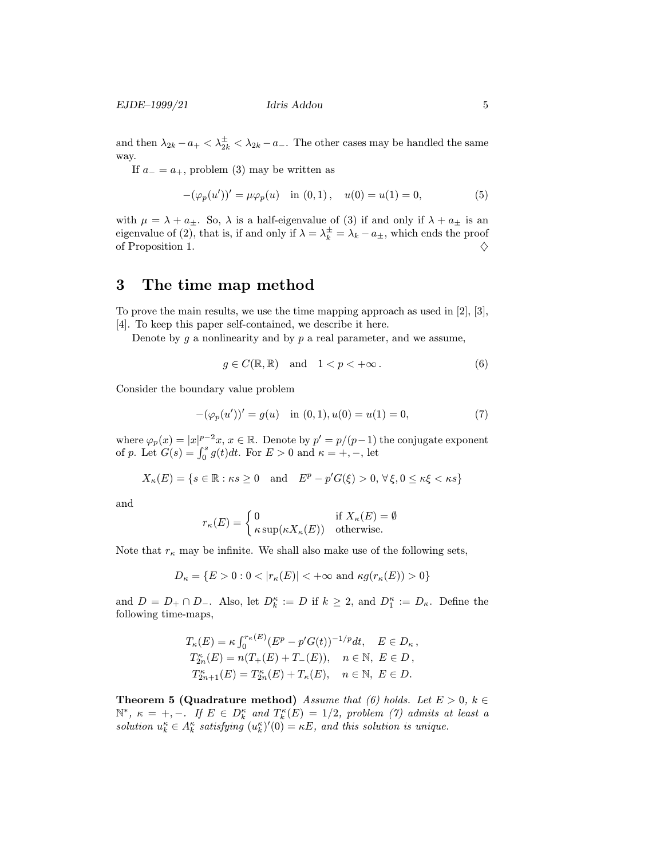and then  $\lambda_{2k} - a_+ < \lambda_{2k}^{\pm} < \lambda_{2k} - a_-\$ . The other cases may be handled the same way.

If  $a_-=a_+$ , problem (3) may be written as

$$
-(\varphi_p(u'))' = \mu \varphi_p(u) \quad \text{in } (0,1), \quad u(0) = u(1) = 0,\tag{5}
$$

with  $\mu = \lambda + a_{\pm}$ . So,  $\lambda$  is a half-eigenvalue of (3) if and only if  $\lambda + a_{\pm}$  is an eigenvalue of (2), that is, if and only if  $\lambda = \lambda_k^{\pm} = \lambda_k - a_{\pm}$ , which ends the proof of Proposition 1.  $\diamondsuit$ 

### 3 The time map method

To prove the main results, we use the time mapping approach as used in [2], [3], [4]. To keep this paper self-contained, we describe it here.

Denote by  $g$  a nonlinearity and by  $p$  a real parameter, and we assume,

$$
g \in C(\mathbb{R}, \mathbb{R}) \quad \text{and} \quad 1 < p < +\infty \,. \tag{6}
$$

Consider the boundary value problem

$$
-(\varphi_p(u'))' = g(u) \quad \text{in } (0,1), u(0) = u(1) = 0,\tag{7}
$$

where  $\varphi_p(x) = |x|^{p-2}x, x \in \mathbb{R}$ . Denote by  $p' = p/(p-1)$  the conjugate exponent of p. Let  $G(s) = \int_0^s g(t)dt$ . For  $E > 0$  and  $\kappa = +, -$ , let

$$
X_{\kappa}(E) = \{ s \in \mathbb{R} : \kappa s \ge 0 \quad \text{and} \quad E^p - p'G(\xi) > 0, \,\forall \xi, 0 \le \kappa \xi < \kappa s \}
$$

and

$$
r_{\kappa}(E) = \begin{cases} 0 & \text{if } X_{\kappa}(E) = \emptyset \\ \kappa \sup(\kappa X_{\kappa}(E)) & \text{otherwise.} \end{cases}
$$

Note that  $r_{\kappa}$  may be infinite. We shall also make use of the following sets,

$$
D_{\kappa} = \{ E > 0 : 0 < |r_{\kappa}(E)| < +\infty \text{ and } \kappa g(r_{\kappa}(E)) > 0 \}
$$

and  $D = D_+ \cap D_-$ . Also, let  $D_k^{\kappa} := D$  if  $k \geq 2$ , and  $D_1^{\kappa} := D_{\kappa}$ . Define the following time-maps,

$$
T_{\kappa}(E) = \kappa \int_0^{r_{\kappa}(E)} (E^p - p'G(t))^{-1/p} dt, \quad E \in D_{\kappa},
$$
  
\n
$$
T_{2n}^{\kappa}(E) = n(T_{+}(E) + T_{-}(E)), \quad n \in \mathbb{N}, \ E \in D,
$$
  
\n
$$
T_{2n+1}^{\kappa}(E) = T_{2n}^{\kappa}(E) + T_{\kappa}(E), \quad n \in \mathbb{N}, \ E \in D.
$$

**Theorem 5 (Quadrature method)** Assume that (6) holds. Let  $E > 0$ ,  $k \in$  $\mathbb{N}^*, \ \kappa = +, -$ . If  $E \in D_k^{\kappa}$  and  $T_k^{\kappa}(E)=1/2$ , problem (7) admits at least a solution  $u_k^{\kappa} \in A_k^{\kappa}$  satisfying  $(u_k^{\kappa})'(0) = \kappa E$ , and this solution is unique.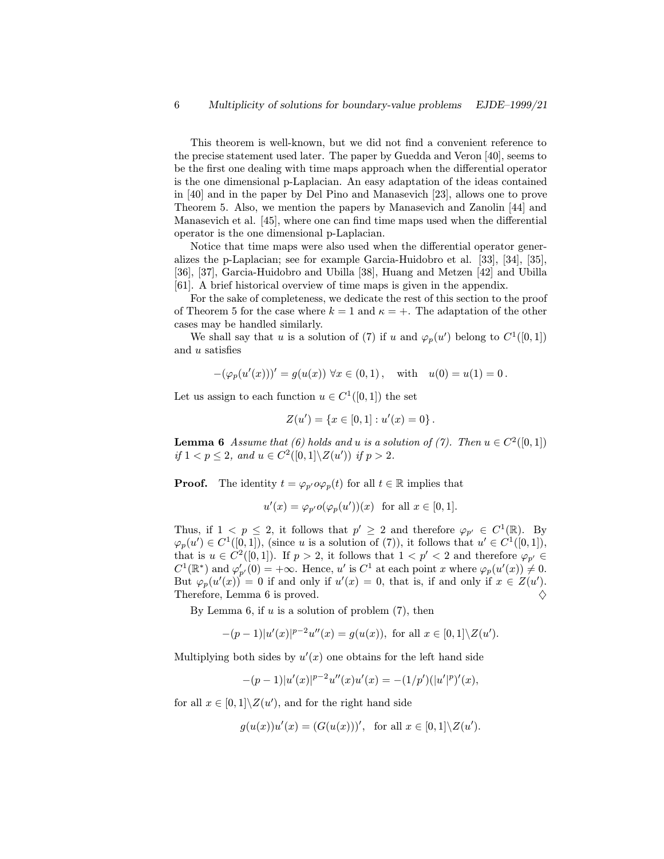This theorem is well-known, but we did not find a convenient reference to the precise statement used later. The paper by Guedda and Veron [40], seems to be the first one dealing with time maps approach when the differential operator is the one dimensional p-Laplacian. An easy adaptation of the ideas contained in [40] and in the paper by Del Pino and Manasevich [23], allows one to prove Theorem 5. Also, we mention the papers by Manasevich and Zanolin [44] and Manasevich et al. [45], where one can find time maps used when the differential operator is the one dimensional p-Laplacian.

Notice that time maps were also used when the differential operator generalizes the p-Laplacian; see for example Garcia-Huidobro et al. [33], [34], [35], [36], [37], Garcia-Huidobro and Ubilla [38], Huang and Metzen [42] and Ubilla [61]. A brief historical overview of time maps is given in the appendix.

For the sake of completeness, we dedicate the rest of this section to the proof of Theorem 5 for the case where  $k = 1$  and  $\kappa = +$ . The adaptation of the other cases may be handled similarly.

We shall say that u is a solution of (7) if u and  $\varphi_p(u')$  belong to  $C^1([0,1])$ and u satisfies

$$
-(\varphi_p(u'(x)))' = g(u(x)) \,\,\forall x \in (0,1), \quad \text{with} \quad u(0) = u(1) = 0.
$$

Let us assign to each function  $u \in C^1([0,1])$  the set

$$
Z(u') = \{x \in [0,1] : u'(x) = 0\}.
$$

**Lemma 6** Assume that (6) holds and u is a solution of (7). Then  $u \in C^2([0,1])$ if  $1 < p \leq 2$ , and  $u \in C^2([0,1] \setminus Z(u'))$  if  $p > 2$ .

**Proof.** The identity  $t = \varphi_{p'} \circ \varphi_p(t)$  for all  $t \in \mathbb{R}$  implies that

$$
u'(x) = \varphi_{p'}o(\varphi_p(u'))(x) \text{ for all } x \in [0,1].
$$

Thus, if  $1 < p \leq 2$ , it follows that  $p' \geq 2$  and therefore  $\varphi_{p'} \in C^1(\mathbb{R})$ . By  $\varphi_p(u') \in C^1([0,1]),$  (since u is a solution of (7)), it follows that  $u' \in C^1([0,1]),$ that is  $u \in C^2([0,1])$ . If  $p > 2$ , it follows that  $1 < p' < 2$  and therefore  $\varphi_{p'} \in$  $C^1(\mathbb{R}^*)$  and  $\varphi'_{p'}(0) = +\infty$ . Hence, u' is  $C^1$  at each point x where  $\varphi_p(u'(x)) \neq 0$ . But  $\varphi_p(u'(x)) = 0$  if and only if  $u'(x) = 0$ , that is, if and only if  $x \in Z(u')$ . Therefore, Lemma 6 is proved.  $\Diamond$ 

By Lemma 6, if  $u$  is a solution of problem  $(7)$ , then

$$
-(p-1)|u'(x)|^{p-2}u''(x) = g(u(x)), \text{ for all } x \in [0,1] \setminus Z(u').
$$

Multiplying both sides by  $u'(x)$  one obtains for the left hand side

$$
-(p-1)|u'(x)|^{p-2}u''(x)u'(x) = -(1/p')(|u'|^p)'(x),
$$

for all  $x \in [0,1] \backslash Z(u')$ , and for the right hand side

$$
g(u(x))u'(x) = (G(u(x)))'
$$
, for all  $x \in [0,1] \setminus Z(u')$ .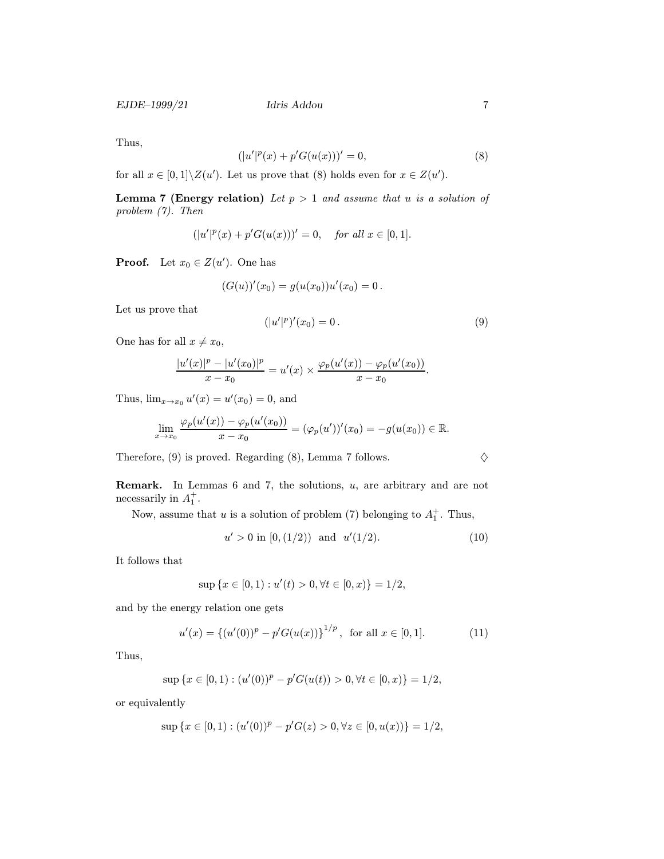Thus,

$$
(|u'|^{p}(x) + p'G(u(x)))' = 0,
$$
\n(8)

for all  $x \in [0,1] \backslash Z(u')$ . Let us prove that (8) holds even for  $x \in Z(u')$ .

**Lemma 7 (Energy relation)** Let  $p > 1$  and assume that u is a solution of problem (7). Then

$$
(|u'|^p(x) + p'G(u(x)))' = 0, \quad for all x \in [0, 1].
$$

**Proof.** Let  $x_0 \in Z(u')$ . One has

$$
(G(u))'(x_0) = g(u(x_0))u'(x_0) = 0.
$$

Let us prove that

$$
(|u'|^p)'(x_0) = 0.
$$
\n(9)

One has for all  $x \neq x_0$ ,

$$
\frac{|u'(x)|^p - |u'(x_0)|^p}{x - x_0} = u'(x) \times \frac{\varphi_p(u'(x)) - \varphi_p(u'(x_0))}{x - x_0}.
$$

Thus,  $\lim_{x \to x_0} u'(x) = u'(x_0) = 0$ , and

$$
\lim_{x \to x_0} \frac{\varphi_p(u'(x)) - \varphi_p(u'(x_0))}{x - x_0} = (\varphi_p(u'))'(x_0) = -g(u(x_0)) \in \mathbb{R}.
$$

Therefore, (9) is proved. Regarding (8), Lemma 7 follows.  $\diamondsuit$ 

**Remark.** In Lemmas 6 and 7, the solutions,  $u$ , are arbitrary and are not necessarily in  $A_1^+$ .

Now, assume that u is a solution of problem (7) belonging to  $A_1^+$ . Thus,

$$
u' > 0 \text{ in } [0, (1/2)) \text{ and } u'(1/2). \tag{10}
$$

It follows that

$$
\sup\left\{x \in [0,1) : u'(t) > 0, \forall t \in [0,x)\right\} = 1/2,
$$

and by the energy relation one gets

$$
u'(x) = \{ (u'(0))^p - p'G(u(x)) \}^{1/p}, \text{ for all } x \in [0,1].
$$
 (11)

Thus,

$$
\sup\left\{x\in[0,1):(u'(0))^p-p'G(u(t))>0,\forall t\in[0,x)\right\}=1/2,
$$

or equivalently

$$
\sup\left\{x \in [0,1) : (u'(0))^p - p'G(z) > 0, \forall z \in [0, u(x))\right\} = 1/2,
$$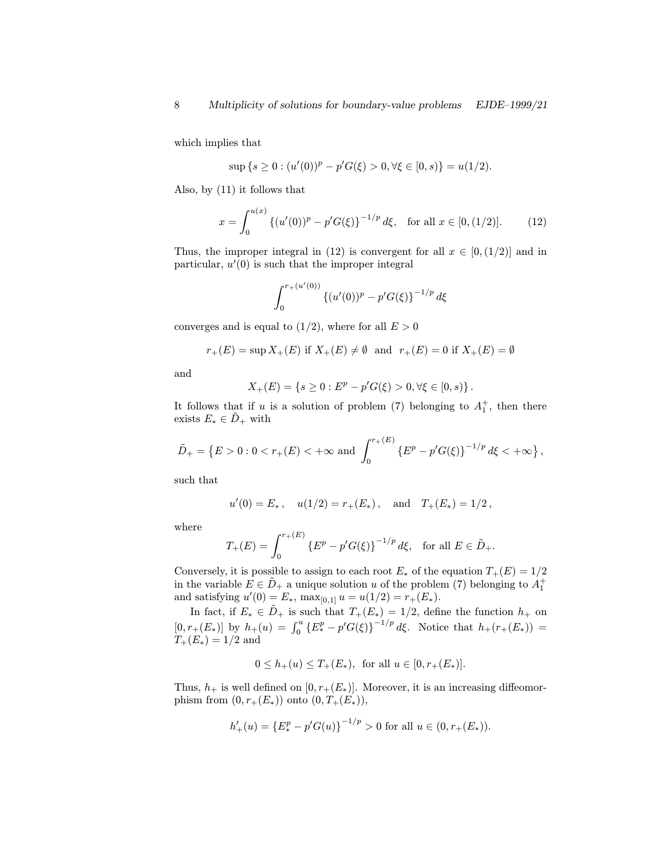which implies that

$$
\sup\left\{s\geq 0: (u'(0))^p - p'G(\xi) > 0, \forall \xi \in [0, s)\right\} = u(1/2).
$$

Also, by (11) it follows that

$$
x = \int_0^{u(x)} \left\{ (u'(0))^p - p'G(\xi) \right\}^{-1/p} d\xi, \text{ for all } x \in [0, (1/2)]. \tag{12}
$$

Thus, the improper integral in (12) is convergent for all  $x \in [0, (1/2)]$  and in particular,  $u'(0)$  is such that the improper integral

$$
\int_0^{r_+(u'(0))} \left\{ (u'(0))^p - p'G(\xi) \right\}^{-1/p} d\xi
$$

converges and is equal to  $(1/2)$ , where for all  $E > 0$ 

$$
r_+(E)=\sup X_+(E)\ \text{if}\ X_+(E)\neq\emptyset\ \ \text{and}\ \ r_+(E)=0\ \text{if}\ X_+(E)=\emptyset
$$

and

$$
X_{+}(E) = \{ s \ge 0 : E^{p} - p'G(\xi) > 0, \forall \xi \in [0, s) \}.
$$

It follows that if u is a solution of problem (7) belonging to  $A_1^+$ , then there exists  $E_* \in \tilde{D}_+$  with

$$
\tilde{D}_{+} = \left\{ E > 0 : 0 < r_{+}(E) < +\infty \, \text{and} \, \int_{0}^{r_{+}(E)} \left\{ E^{p} - p'G(\xi) \right\}^{-1/p} d\xi < +\infty \right\},
$$

such that

$$
u'(0) = E_*,
$$
  $u(1/2) = r_+(E_*)$ , and  $T_+(E_*) = 1/2$ ,

where

$$
T_+(E) = \int_0^{r_+(E)} \left\{ E^p - p'G(\xi) \right\}^{-1/p} d\xi, \text{ for all } E \in \tilde{D}_+.
$$

Conversely, it is possible to assign to each root  $E_*$  of the equation  $T_+(E)=1/2$ in the variable  $E \in \tilde{D}_+$  a unique solution u of the problem (7) belonging to  $A_1^+$ and satisfying  $u'(0) = E_*, \max_{[0,1]} u = u(1/2) = r_+(E_*).$ 

In fact, if  $E_* \in \tilde{D}_+$  is such that  $T_+(E_*)=1/2$ , define the function  $h_+$  on  $[0, r_{+}(E_{*})]$  by  $h_{+}(u) = \int_{0}^{u} \{E_{*}^{p} - p'G(\xi)\}^{-1/p} d\xi$ . Notice that  $h_{+}(r_{+}(E_{*}))$  $T_{+}(E_{*})=1/2$  and

$$
0 \le h_+(u) \le T_+(E_*)
$$
, for all  $u \in [0, r_+(E_*)]$ .

Thus,  $h_+$  is well defined on  $[0, r_+(E_*)]$ . Moreover, it is an increasing diffeomorphism from  $(0, r_+(E_*))$  onto  $(0, T_+(E_*)),$ 

$$
h'_+(u) = \{E_*^p - p'G(u)\}^{-1/p} > 0 \text{ for all } u \in (0, r_+(E_*)).
$$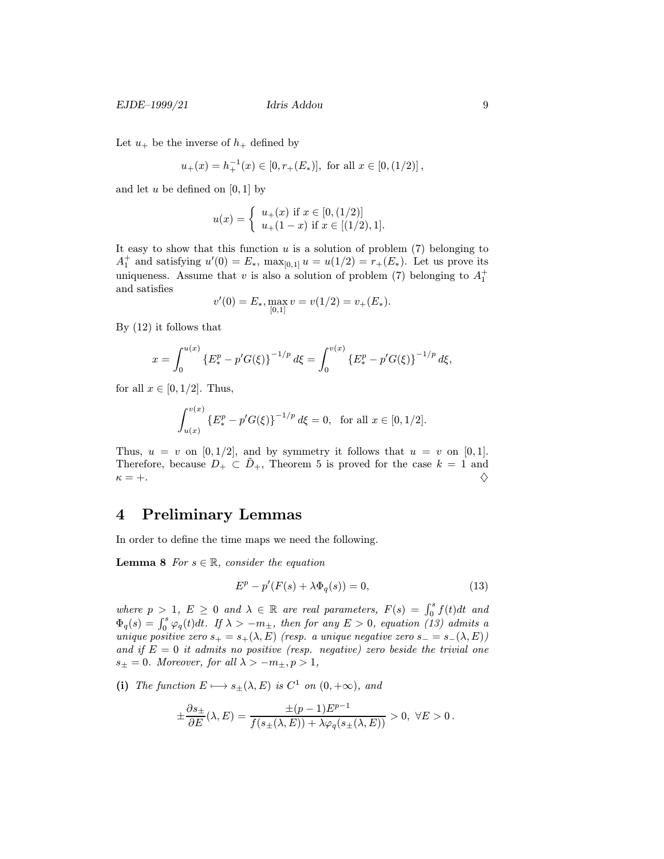Let  $u_+$  be the inverse of  $h_+$  defined by

$$
u_{+}(x) = h_{+}^{-1}(x) \in [0, r_{+}(E_{*})],
$$
 for all  $x \in [0, (1/2)]$ ,

and let  $u$  be defined on [0, 1] by

$$
u(x) = \begin{cases} u_{+}(x) \text{ if } x \in [0, (1/2)] \\ u_{+}(1-x) \text{ if } x \in [(1/2), 1]. \end{cases}
$$

It easy to show that this function  $u$  is a solution of problem  $(7)$  belonging to  $A_1^+$  and satisfying  $u'(0) = E_*, \max_{[0,1]} u = u(1/2) = r_+(E_*)$ . Let us prove its uniqueness. Assume that v is also a solution of problem (7) belonging to  $A_1^+$ and satisfies

$$
v'(0) = E_*, \max_{[0,1]} v = v(1/2) = v_+(E_*).
$$

By (12) it follows that

$$
x = \int_0^{u(x)} \left\{ E_*^p - p'G(\xi) \right\}^{-1/p} d\xi = \int_0^{v(x)} \left\{ E_*^p - p'G(\xi) \right\}^{-1/p} d\xi,
$$

for all  $x \in [0, 1/2]$ . Thus,

$$
\int_{u(x)}^{v(x)} \left\{ E_*^p - p'G(\xi) \right\}^{-1/p} d\xi = 0, \text{ for all } x \in [0, 1/2].
$$

Thus,  $u = v$  on [0, 1/2], and by symmetry it follows that  $u = v$  on [0, 1]. Therefore, because  $D_+ \subset \tilde{D}_+$ , Theorem 5 is proved for the case  $k = 1$  and  $\kappa = +.$ 

### 4 Preliminary Lemmas

In order to define the time maps we need the following.

**Lemma 8** For  $s \in \mathbb{R}$ , consider the equation

$$
E^p - p'(F(s) + \lambda \Phi_q(s)) = 0,\t(13)
$$

where  $p > 1$ ,  $E \ge 0$  and  $\lambda \in \mathbb{R}$  are real parameters,  $F(s) = \int_0^s f(t)dt$  and  $\Phi_q(s) = \int_0^s \varphi_q(t) dt$ . If  $\lambda > -m_{\pm}$ , then for any  $E > 0$ , equation (13) admits a unique positive zero  $s_{+} = s_{+}(\lambda, E)$  (resp. a unique negative zero  $s_{-} = s_{-}(\lambda, E)$ ) and if  $E = 0$  it admits no positive (resp. negative) zero beside the trivial one  $s_{\pm}=0$ . Moreover, for all  $\lambda > -m_{\pm}, p>1$ ,

(i) The function  $E \mapsto s_{\pm}(\lambda, E)$  is  $C^1$  on  $(0, +\infty)$ , and

$$
\pm \frac{\partial s_{\pm}}{\partial E}(\lambda, E) = \frac{\pm (p-1) E^{p-1}}{f(s_{\pm}(\lambda, E)) + \lambda \varphi_q(s_{\pm}(\lambda, E))} > 0, \ \forall E > 0.
$$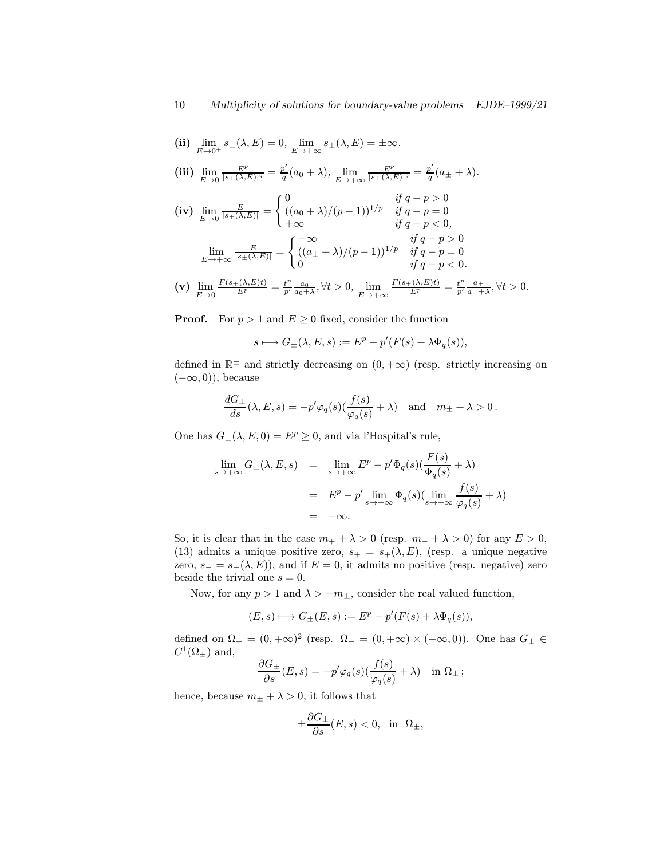(ii) 
$$
\lim_{E \to 0^+} s_{\pm}(\lambda, E) = 0
$$
,  $\lim_{E \to +\infty} s_{\pm}(\lambda, E) = \pm \infty$ .

$$
\textbf{(iii)}\ \lim_{E\to 0}\frac{E^p}{|s_{\pm}(\lambda,E)|^q}=\frac{p'}{q}(a_0+\lambda),\ \lim_{E\to +\infty}\frac{E^p}{|s_{\pm}(\lambda,E)|^q}=\frac{p'}{q}(a_{\pm}+\lambda).
$$

$$
\begin{aligned}\n\text{(iv)} \quad & \lim_{E \to 0} \frac{E}{|s_{\pm}(\lambda, E)|} = \begin{cases}\n0 & \text{if } q - p > 0 \\
((a_0 + \lambda)/(p - 1))^{1/p} & \text{if } q - p = 0 \\
+\infty & \text{if } q - p < 0,\n\end{cases} \\
& \lim_{E \to +\infty} \frac{E}{|s_{\pm}(\lambda, E)|} = \begin{cases}\n+\infty & \text{if } q - p > 0 \\
((a_{\pm} + \lambda)/(p - 1))^{1/p} & \text{if } q - p = 0 \\
0 & \text{if } q - p < 0.\n\end{cases} \\
\text{(c)} \quad & \lim_{E \to +\infty} \frac{F(s_{\pm}(\lambda, E)t)}{F(s_{\pm}(\lambda, E)t)} = \begin{cases}\n+(a_0 + \lambda)/(p - 1) & \text{if } q - p < 0 \\
0 & \text{if } q - p < 0.\n\end{cases} \\
\text{(d)} \quad & \lim_{E \to +\infty} \frac{F(s_{\pm}(\lambda, E)t)}{F(s_{\pm}(\lambda, E)t)} = \begin{cases}\n+(a_0 + \lambda)/(p - 1) & \text{if } q - p < 0 \\
0 & \text{if } q - p < 0.\n\end{cases} \\
\text{(e)} \quad & \lim_{E \to +\infty} \frac{F(s_{\pm}(\lambda, E)t)}{F(s_{\pm}(\lambda, E)t)} = \begin{cases}\n-(b_0 + \lambda)/(p - 1) & \text{if } q - p < 0 \\
0 & \text{if } q - p < 0.\n\end{cases} \\
\text{(f)} \quad & \lim_{E \to +\infty} \frac{F(s_{\pm}(\lambda, E)t)}{F(s_{\pm}(\lambda, E)t)} = \begin{cases}\n-(b_0 + \lambda)/(p - 1) & \text{if } q - p < 0 \\
0 & \text{if } q - p < 0.\n\end{cases} \\
\text{(g)} \quad & \lim_{E \to +\infty} \frac{F(s_{\pm}(\lambda, E)t)}{F(s_{\pm}(\lambda, E)t)} = \begin{cases}\n-(b_0 + \lambda)/(p - 1) & \text
$$

 $\displaystyle{\mathrm{(v)}}\;\lim_{E\to 0}$  $\frac{F(s_{\pm}(\lambda,E)t)}{E^p} = \frac{t^p}{p'} \frac{a_0}{a_0 + \lambda}, \forall t > 0, \lim_{E \to +\infty}$  $\frac{F(s_{\pm}(\lambda,E)t)}{E^p} = \frac{t^p}{p'} \frac{a_{\pm}}{a_{\pm}+\lambda}, \forall t > 0.$ 

**Proof.** For  $p > 1$  and  $E \ge 0$  fixed, consider the function

$$
s\longmapsto G_{\pm}(\lambda,E,s):=E^p-p'(F(s)+\lambda\Phi_q(s)),
$$

defined in  $\mathbb{R}^{\pm}$  and strictly decreasing on  $(0, +\infty)$  (resp. strictly increasing on  $(-\infty, 0)$ , because

$$
\frac{dG_{\pm}}{ds}(\lambda, E, s) = -p'\varphi_q(s)\left(\frac{f(s)}{\varphi_q(s)} + \lambda\right) \quad \text{and} \quad m_{\pm} + \lambda > 0\,.
$$

One has  $G_{\pm}(\lambda, E, 0) = E^p \geq 0$ , and via l'Hospital's rule,

$$
\lim_{s \to +\infty} G_{\pm}(\lambda, E, s) = \lim_{s \to +\infty} E^{p} - p' \Phi_{q}(s) \left( \frac{F(s)}{\Phi_{q}(s)} + \lambda \right)
$$

$$
= E^{p} - p' \lim_{s \to +\infty} \Phi_{q}(s) \left( \lim_{s \to +\infty} \frac{f(s)}{\varphi_{q}(s)} + \lambda \right)
$$

$$
= -\infty.
$$

So, it is clear that in the case  $m_+ + \lambda > 0$  (resp.  $m_- + \lambda > 0$ ) for any  $E > 0$ , (13) admits a unique positive zero,  $s_{+} = s_{+}(\lambda, E)$ , (resp. a unique negative zero,  $s_ - = s_ - (\lambda, E)$ , and if  $E = 0$ , it admits no positive (resp. negative) zero beside the trivial one  $s = 0$ .

Now, for any  $p > 1$  and  $\lambda > -m_{\pm}$ , consider the real valued function,

$$
(E,s)\longmapsto G_{\pm}(E,s):=E^p-p'(F(s)+\lambda\Phi_q(s)),
$$

defined on  $\Omega_+ = (0, +\infty)^2$  (resp.  $\Omega_- = (0, +\infty) \times (-\infty, 0)$ ). One has  $G_{\pm} \in$  $C^1(\Omega_{\pm})$  and,

$$
\frac{\partial G_{\pm}}{\partial s}(E,s) = -p'\varphi_q(s)\left(\frac{f(s)}{\varphi_q(s)} + \lambda\right) \quad \text{in } \Omega_{\pm} ;
$$

hence, because  $m_{\pm} + \lambda > 0$ , it follows that

$$
\pm \frac{\partial G_{\pm}}{\partial s}(E,s) < 0, \quad \text{in} \quad \Omega_{\pm},
$$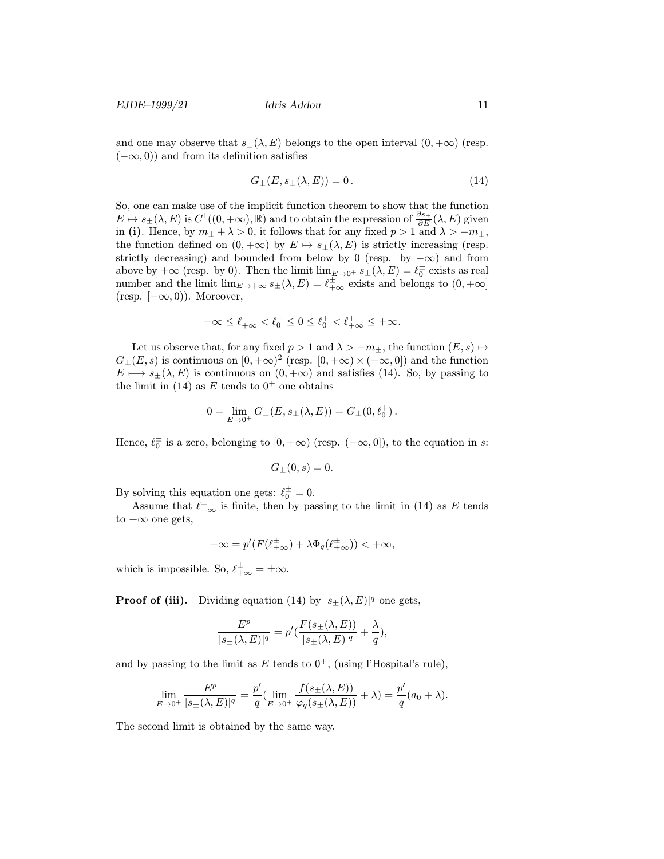and one may observe that  $s_{\pm}(\lambda, E)$  belongs to the open interval  $(0, +\infty)$  (resp.  $(-\infty, 0)$  and from its definition satisfies

$$
G_{\pm}(E, s_{\pm}(\lambda, E)) = 0. \tag{14}
$$

So, one can make use of the implicit function theorem to show that the function  $E \mapsto s_{\pm}(\lambda, E)$  is  $C^1((0, +\infty), \mathbb{R})$  and to obtain the expression of  $\frac{\partial s_{\pm}}{\partial E}(\lambda, E)$  given in (i). Hence, by  $m_{\pm} + \lambda > 0$ , it follows that for any fixed  $p > 1$  and  $\lambda > -m_{\pm}$ , the function defined on  $(0, +\infty)$  by  $E \mapsto s_{\pm}(\lambda, E)$  is strictly increasing (resp. strictly decreasing) and bounded from below by 0 (resp. by  $-\infty$ ) and from above by  $+\infty$  (resp. by 0). Then the limit  $\lim_{E\to 0^+} s_{\pm}(\lambda, E) = \ell_0^{\pm}$  exists as real number and the limit  $\lim_{E \to +\infty} s_{\pm}(\lambda, E) = \ell_{+\infty}^{\pm}$  exists and belongs to  $(0, +\infty]$ (resp.  $[-\infty, 0)$ ). Moreover,

$$
-\infty\leq \ell^-_{+\infty}<\ell^-_0\leq 0\leq \ell^+_0<\ell^+_{+\infty}\leq +\infty.
$$

Let us observe that, for any fixed  $p > 1$  and  $\lambda > -m_{\pm}$ , the function  $(E, s) \mapsto$  $G_{\pm}(E,s)$  is continuous on  $[0, +\infty)^2$  (resp.  $[0, +\infty) \times (-\infty, 0]$ ) and the function  $E \mapsto s_{\pm}(\lambda, E)$  is continuous on  $(0, +\infty)$  and satisfies (14). So, by passing to the limit in (14) as E tends to  $0^+$  one obtains

$$
0 = \lim_{E \to 0^+} G_{\pm}(E, s_{\pm}(\lambda, E)) = G_{\pm}(0, \ell_0^+).
$$

Hence,  $\ell_0^{\pm}$  is a zero, belonging to  $[0, +\infty)$  (resp.  $(-\infty, 0]$ ), to the equation in s:

$$
G_{\pm}(0,s)=0.
$$

By solving this equation one gets:  $\ell_0^{\pm} = 0$ .

Assume that  $\ell^{\pm}_{+\infty}$  is finite, then by passing to the limit in (14) as E tends to  $+\infty$  one gets,

$$
+\infty = p'(F(\ell_{+\infty}^{\pm}) + \lambda \Phi_q(\ell_{+\infty}^{\pm})) < +\infty,
$$

which is impossible. So,  $\ell_{+\infty}^{\pm} = \pm \infty$ .

**Proof of (iii).** Dividing equation (14) by  $|s_{\pm}(\lambda, E)|^q$  one gets,

$$
\frac{E^p}{|s_{\pm}(\lambda, E)|^q} = p'(\frac{F(s_{\pm}(\lambda, E))}{|s_{\pm}(\lambda, E)|^q} + \frac{\lambda}{q}),
$$

and by passing to the limit as  $E$  tends to  $0^+$ , (using l'Hospital's rule),

$$
\lim_{E \to 0^+} \frac{E^p}{|s_\pm(\lambda, E)|^q} = \frac{p'}{q} \left( \lim_{E \to 0^+} \frac{f(s_\pm(\lambda, E))}{\varphi_q(s_\pm(\lambda, E))} + \lambda \right) = \frac{p'}{q}(a_0 + \lambda).
$$

The second limit is obtained by the same way.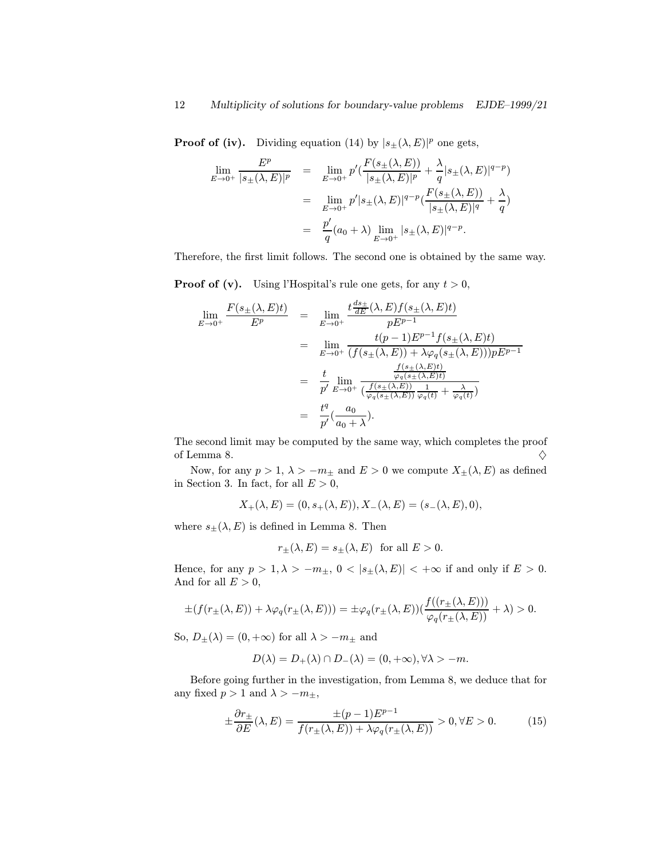**Proof of (iv).** Dividing equation (14) by  $|s_{\pm}(\lambda, E)|^p$  one gets,

$$
\lim_{E \to 0^+} \frac{E^p}{|s_{\pm}(\lambda, E)|^p} = \lim_{E \to 0^+} p' \left( \frac{F(s_{\pm}(\lambda, E))}{|s_{\pm}(\lambda, E)|^p} + \frac{\lambda}{q} |s_{\pm}(\lambda, E)|^{q-p} \right)
$$
  
\n
$$
= \lim_{E \to 0^+} p' |s_{\pm}(\lambda, E)|^{q-p} \left( \frac{F(s_{\pm}(\lambda, E))}{|s_{\pm}(\lambda, E)|^q} + \frac{\lambda}{q} \right)
$$
  
\n
$$
= \frac{p'}{q} (a_0 + \lambda) \lim_{E \to 0^+} |s_{\pm}(\lambda, E)|^{q-p}.
$$

Therefore, the first limit follows. The second one is obtained by the same way.

**Proof of (v).** Using l'Hospital's rule one gets, for any  $t > 0$ ,

$$
\lim_{E \to 0^{+}} \frac{F(s_{\pm}(\lambda, E)t)}{E^{p}} = \lim_{E \to 0^{+}} \frac{t \frac{ds_{\pm}}{dE}(\lambda, E)f(s_{\pm}(\lambda, E)t)}{pE^{p-1}}
$$
\n
$$
= \lim_{E \to 0^{+}} \frac{t(p-1)E^{p-1}f(s_{\pm}(\lambda, E)t)}{(f(s_{\pm}(\lambda, E)) + \lambda \varphi_{q}(s_{\pm}(\lambda, E)))pE^{p-1}}
$$
\n
$$
= \frac{t}{p'} \lim_{E \to 0^{+}} \frac{\frac{f(s_{\pm}(\lambda, E)t)}{\varphi_{q}(s_{\pm}(\lambda, E))}}{\frac{f(s_{\pm}(\lambda, E))}{\varphi_{q}(s_{\pm}(\lambda, E))} \frac{1}{\varphi_{q}(t)} + \frac{\lambda}{\varphi_{q}(t)}}
$$
\n
$$
= \frac{t^{q}}{p'}(\frac{a_{0}}{a_{0} + \lambda}).
$$

The second limit may be computed by the same way, which completes the proof of Lemma 8.  $\Diamond$ 

Now, for any  $p > 1$ ,  $\lambda > -m_{\pm}$  and  $E > 0$  we compute  $X_{\pm}(\lambda, E)$  as defined in Section 3. In fact, for all  $E > 0$ ,

$$
X_+(\lambda,E)=(0,s_+(\lambda,E)), X_-(\lambda,E)=(s_-(\lambda,E),0),
$$

where  $s_{\pm}(\lambda, E)$  is defined in Lemma 8. Then

$$
r_{\pm}(\lambda, E) = s_{\pm}(\lambda, E)
$$
 for all  $E > 0$ .

Hence, for any  $p > 1, \lambda > -m_{\pm}, 0 < |s_{\pm}(\lambda, E)| < +\infty$  if and only if  $E > 0$ . And for all  $E > 0$ ,

$$
\pm(f(r_{\pm}(\lambda,E))+\lambda\varphi_q(r_{\pm}(\lambda,E)))=\pm\varphi_q(r_{\pm}(\lambda,E))(\frac{f((r_{\pm}(\lambda,E)))}{\varphi_q(r_{\pm}(\lambda,E))}+\lambda)>0.
$$

So,  $D_{\pm}(\lambda) = (0, +\infty)$  for all  $\lambda > -m_{\pm}$  and

$$
D(\lambda) = D_{+}(\lambda) \cap D_{-}(\lambda) = (0, +\infty), \forall \lambda > -m.
$$

Before going further in the investigation, from Lemma 8, we deduce that for any fixed  $p > 1$  and  $\lambda > -m_{\pm}$ ,

$$
\pm \frac{\partial r_{\pm}}{\partial E}(\lambda, E) = \frac{\pm (p-1)E^{p-1}}{f(r_{\pm}(\lambda, E)) + \lambda \varphi_q(r_{\pm}(\lambda, E))} > 0, \forall E > 0.
$$
 (15)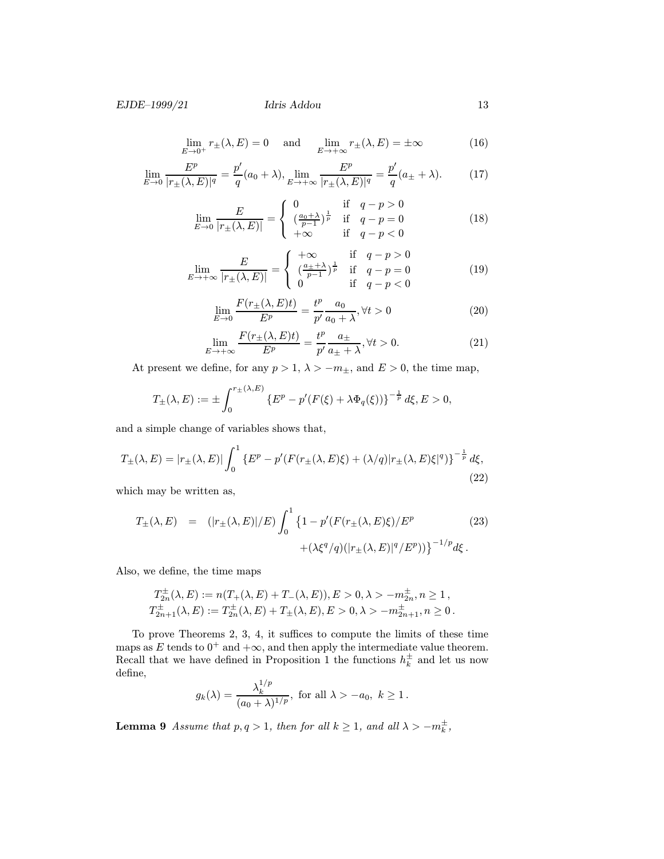$$
\lim_{E \to 0^+} r_{\pm}(\lambda, E) = 0 \quad \text{and} \quad \lim_{E \to +\infty} r_{\pm}(\lambda, E) = \pm \infty \tag{16}
$$

$$
\lim_{E \to 0} \frac{E^p}{|r_{\pm}(\lambda, E)|^q} = \frac{p'}{q}(a_0 + \lambda), \lim_{E \to +\infty} \frac{E^p}{|r_{\pm}(\lambda, E)|^q} = \frac{p'}{q}(a_{\pm} + \lambda).
$$
 (17)

$$
\lim_{E \to 0} \frac{E}{|r_{\pm}(\lambda, E)|} = \begin{cases} 0 & \text{if } q - p > 0 \\ \left(\frac{a_0 + \lambda}{p - 1}\right)^{\frac{1}{p}} & \text{if } q - p = 0 \\ +\infty & \text{if } q - p < 0 \end{cases} \tag{18}
$$

$$
\lim_{E \to +\infty} \frac{E}{|r_{\pm}(\lambda, E)|} = \begin{cases} +\infty & \text{if } q - p > 0\\ \left(\frac{a_{\pm} + \lambda}{p - 1}\right)^{\frac{1}{p}} & \text{if } q - p = 0\\ 0 & \text{if } q - p < 0 \end{cases}
$$
(19)

$$
\lim_{E \to 0} \frac{F(r_{\pm}(\lambda, E)t)}{E^p} = \frac{t^p}{p'} \frac{a_0}{a_0 + \lambda}, \forall t > 0
$$
\n(20)

$$
\lim_{E \to +\infty} \frac{F(r_{\pm}(\lambda, E)t)}{E^p} = \frac{t^p}{p'} \frac{a_{\pm}}{a_{\pm} + \lambda}, \forall t > 0.
$$
 (21)

At present we define, for any  $p > 1$ ,  $\lambda > -m_{\pm}$ , and  $E > 0$ , the time map,

$$
T_{\pm}(\lambda, E) := \pm \int_0^{r_{\pm}(\lambda, E)} \left\{ E^p - p'(F(\xi) + \lambda \Phi_q(\xi)) \right\}^{-\frac{1}{p}} d\xi, E > 0,
$$

and a simple change of variables shows that,

$$
T_{\pm}(\lambda, E) = |r_{\pm}(\lambda, E)| \int_0^1 \left\{ E^p - p'(F(r_{\pm}(\lambda, E)\xi) + (\lambda/q)|r_{\pm}(\lambda, E)\xi|^q) \right\}^{-\frac{1}{p}} d\xi,
$$
\n(22)

which may be written as,

$$
T_{\pm}(\lambda, E) = (|r_{\pm}(\lambda, E)|/E) \int_0^1 \{1 - p'(F(r_{\pm}(\lambda, E)\xi)/E^p + (\lambda \xi^q/q)(|r_{\pm}(\lambda, E)|^q/E^p))\}^{-1/p} d\xi.
$$
 (23)

Also, we define, the time maps

$$
T_{2n}^{\pm}(\lambda, E) := n(T_{+}(\lambda, E) + T_{-}(\lambda, E)), E > 0, \lambda > -m_{2n}^{\pm}, n \ge 1,
$$
  
\n
$$
T_{2n+1}^{\pm}(\lambda, E) := T_{2n}^{\pm}(\lambda, E) + T_{\pm}(\lambda, E), E > 0, \lambda > -m_{2n+1}^{\pm}, n \ge 0.
$$

To prove Theorems 2, 3, 4, it suffices to compute the limits of these time maps as E tends to  $0^+$  and  $+\infty$ , and then apply the intermediate value theorem. Recall that we have defined in Proposition 1 the functions  $h_k^{\pm}$  and let us now define,

$$
g_k(\lambda) = \frac{\lambda_k^{1/p}}{(a_0 + \lambda)^{1/p}}, \text{ for all } \lambda > -a_0, \ k \ge 1.
$$

**Lemma 9** Assume that  $p, q > 1$ , then for all  $k \ge 1$ , and all  $\lambda > -m_k^{\pm}$ ,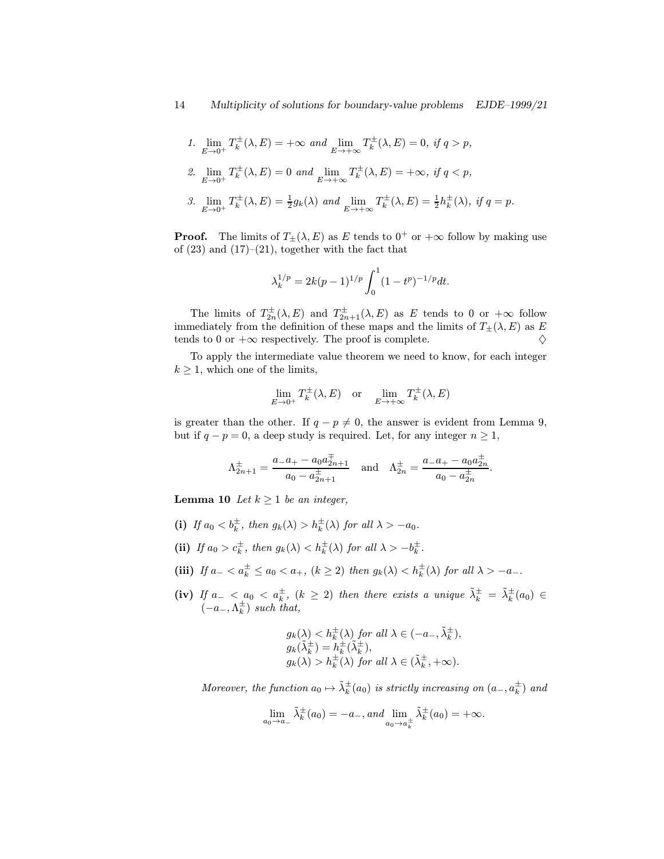\n- \n
$$
\lim_{E \to 0^+} T_k^{\pm}(\lambda, E) = +\infty \text{ and } \lim_{E \to +\infty} T_k^{\pm}(\lambda, E) = 0, \text{ if } q > p,
$$
\n
\n- \n
$$
\lim_{E \to 0^+} T_k^{\pm}(\lambda, E) = 0 \text{ and } \lim_{E \to +\infty} T_k^{\pm}(\lambda, E) = +\infty, \text{ if } q < p,
$$
\n
\n- \n
$$
\lim_{E \to 0^+} T_k^{\pm}(\lambda, E) = \frac{1}{2} g_k(\lambda) \text{ and } \lim_{E \to +\infty} T_k^{\pm}(\lambda, E) = \frac{1}{2} h_k^{\pm}(\lambda), \text{ if } q = p.
$$
\n
\n

**Proof.** The limits of  $T_{\pm}(\lambda, E)$  as E tends to  $0^+$  or  $+\infty$  follow by making use of  $(23)$  and  $(17)–(21)$ , together with the fact that

$$
\lambda_k^{1/p} = 2k(p-1)^{1/p} \int_0^1 (1-t^p)^{-1/p} dt.
$$

The limits of  $T_{2n}^{\pm}(\lambda, E)$  and  $T_{2n+1}^{\pm}(\lambda, E)$  as E tends to 0 or  $+\infty$  follow immediately from the definition of these maps and the limits of  $T_{\pm}(\lambda, E)$  as E tends to 0 or  $+\infty$  respectively. The proof is complete.  $\diamondsuit$ 

To apply the intermediate value theorem we need to know, for each integer  $k \geq 1$ , which one of the limits,

$$
\lim_{E \to 0^+} T_k^{\pm}(\lambda, E) \quad \text{or} \quad \lim_{E \to +\infty} T_k^{\pm}(\lambda, E)
$$

is greater than the other. If  $q - p \neq 0$ , the answer is evident from Lemma 9, but if  $q - p = 0$ , a deep study is required. Let, for any integer  $n \ge 1$ ,

$$
\Lambda_{2n+1}^{\pm} = \frac{a_{-}a_{+} - a_0 a_{2n+1}^{\pm}}{a_0 - a_{2n+1}^{\pm}} \quad \text{and} \quad \Lambda_{2n}^{\pm} = \frac{a_{-}a_{+} - a_0 a_{2n}^{\pm}}{a_0 - a_{2n}^{\pm}}.
$$

**Lemma 10** Let  $k \geq 1$  be an integer,

- (i) If  $a_0 < b_k^{\pm}$ , then  $g_k(\lambda) > h_k^{\pm}(\lambda)$  for all  $\lambda > -a_0$ .
- (ii) If  $a_0 > c_k^{\pm}$ , then  $g_k(\lambda) < h_k^{\pm}(\lambda)$  for all  $\lambda > -b_k^{\pm}$ .
- (iii) If  $a_- < a_k^{\pm} \le a_0 < a_+$ ,  $(k \ge 2)$  then  $g_k(\lambda) < h_k^{\pm}(\lambda)$  for all  $\lambda > -a_-$ .
- (iv) If  $a_- < a_0 < a_k^{\pm}$ ,  $(k \geq 2)$  then there exists a unique  $\tilde{\lambda}_k^{\pm} = \tilde{\lambda}_k^{\pm}(a_0) \in$  $(-a_-, \Lambda_k^{\pm})$  such that,

$$
g_k(\lambda) < h_k^{\pm}(\lambda) \text{ for all } \lambda \in (-a_-, \tilde{\lambda}_k^{\pm}),
$$
  
\n
$$
g_k(\tilde{\lambda}_k^{\pm}) = h_k^{\pm}(\tilde{\lambda}_k^{\pm}),
$$
  
\n
$$
g_k(\lambda) > h_k^{\pm}(\lambda) \text{ for all } \lambda \in (\tilde{\lambda}_k^{\pm}, +\infty).
$$

Moreover, the function  $a_0 \mapsto \tilde{\lambda}_k^{\pm}(a_0)$  is strictly increasing on  $(a_-, a_k^{\pm})$  and

$$
\lim_{a_0 \to a_-} \tilde{\lambda}_k^{\pm}(a_0) = -a_-, and \lim_{a_0 \to a_k^{\pm}} \tilde{\lambda}_k^{\pm}(a_0) = +\infty.
$$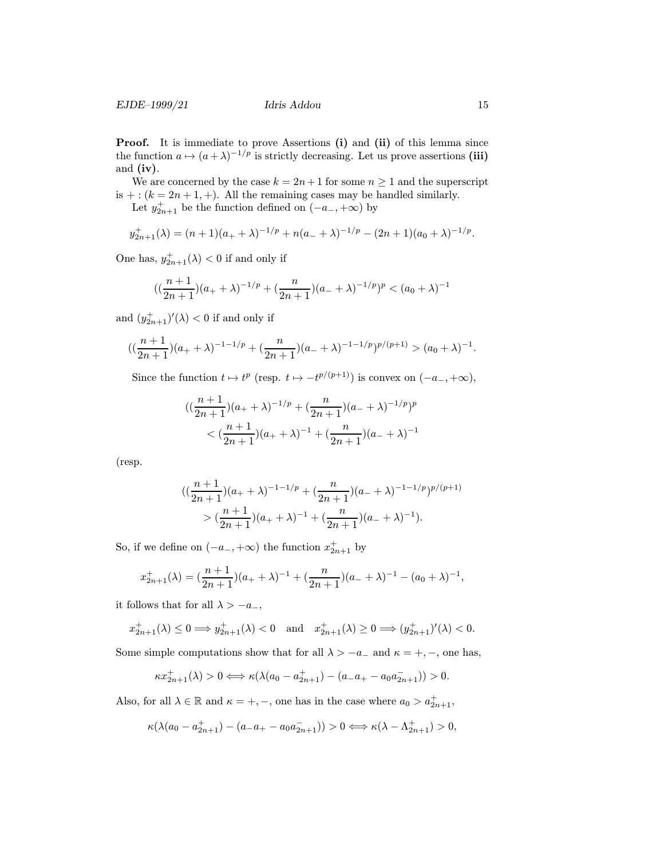Proof. It is immediate to prove Assertions (i) and (ii) of this lemma since the function  $a \mapsto (a + \lambda)^{-1/p}$  is strictly decreasing. Let us prove assertions (iii) and  $(iv)$ .

We are concerned by the case  $k = 2n + 1$  for some  $n \ge 1$  and the superscript is  $+: (k = 2n + 1, +).$  All the remaining cases may be handled similarly.

Let  $y_{2n+1}^+$  be the function defined on  $(-a_-, +\infty)$  by

$$
y_{2n+1}^+(\lambda) = (n+1)(a_+ + \lambda)^{-1/p} + n(a_- + \lambda)^{-1/p} - (2n+1)(a_0 + \lambda)^{-1/p}.
$$

One has,  $y_{2n+1}^{+}(\lambda) < 0$  if and only if

$$
((\frac{n+1}{2n+1})(a_{+}+\lambda)^{-1/p}+(\frac{n}{2n+1})(a_{-}+\lambda)^{-1/p})^{p} < (a_{0}+\lambda)^{-1}
$$

and  $(y_{2n+1}^+)'(\lambda) < 0$  if and only if

$$
((\frac{n+1}{2n+1})(a_{+}+\lambda)^{-1-1/p}+(\frac{n}{2n+1})(a_{-}+\lambda)^{-1-1/p})^{p/(p+1)}>(a_{0}+\lambda)^{-1}.
$$

Since the function  $t \mapsto t^p$  (resp.  $t \mapsto -t^{p/(p+1)}$ ) is convex on  $(-a_-, +\infty)$ ,

$$
((\frac{n+1}{2n+1})(a_{+}+\lambda)^{-1/p} + (\frac{n}{2n+1})(a_{-}+\lambda)^{-1/p})^{p}
$$
  

$$
< (\frac{n+1}{2n+1})(a_{+}+\lambda)^{-1} + (\frac{n}{2n+1})(a_{-}+\lambda)^{-1}
$$

(resp.

$$
\begin{aligned} & \big( (\frac{n+1}{2n+1})(a_+ + \lambda)^{-1-1/p} + (\frac{n}{2n+1})(a_- + \lambda)^{-1-1/p} \big)^{p/(p+1)} \\ & > (\frac{n+1}{2n+1})(a_+ + \lambda)^{-1} + (\frac{n}{2n+1})(a_- + \lambda)^{-1} \big). \end{aligned}
$$

So, if we define on  $(-a_-, +\infty)$  the function  $x_{2n+1}^+$  by

$$
x_{2n+1}^+(\lambda) = \left(\frac{n+1}{2n+1}\right)(a_+ + \lambda)^{-1} + \left(\frac{n}{2n+1}\right)(a_- + \lambda)^{-1} - (a_0 + \lambda)^{-1},
$$

it follows that for all  $\lambda > -a_-,$ 

$$
x_{2n+1}^+(\lambda) \le 0 \Longrightarrow y_{2n+1}^+(\lambda) < 0 \quad \text{and} \quad x_{2n+1}^+(\lambda) \ge 0 \Longrightarrow (y_{2n+1}^+)'(\lambda) < 0.
$$

Some simple computations show that for all  $\lambda > -a_-\,$  and  $\kappa = +, -$ , one has,

$$
\kappa x_{2n+1}^+(\lambda) > 0 \Longleftrightarrow \kappa (\lambda(a_0 - a_{2n+1}^+) - (a_- a_+ - a_0 a_{2n+1}^-)) > 0.
$$

Also, for all  $\lambda \in \mathbb{R}$  and  $\kappa = +, -$ , one has in the case where  $a_0 > a_{2n+1}^+$ ,

$$
\kappa(\lambda(a_0 - a_{2n+1}^+) - (a_-a_+ - a_0a_{2n+1}^-)) > 0 \Longleftrightarrow \kappa(\lambda - \Lambda_{2n+1}^+) > 0,
$$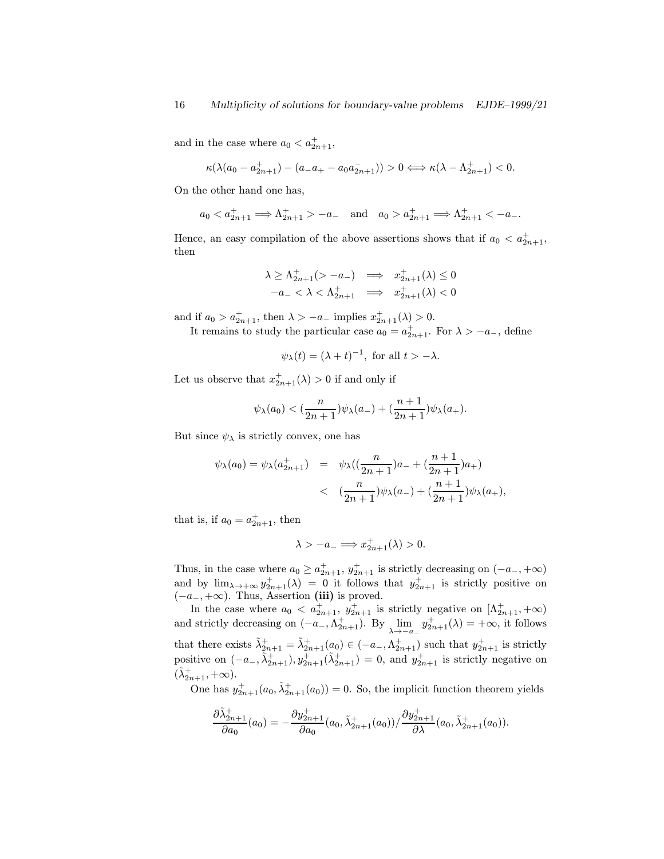and in the case where  $a_0 < a_{2n+1}^+$ ,

$$
\kappa(\lambda(a_0-a_{2n+1}^+)-(a_-a_+ - a_0a_{2n+1}^-)) > 0 \Longleftrightarrow \kappa(\lambda-\Lambda_{2n+1}^+)<0.
$$

On the other hand one has,

$$
a_0 < a_{2n+1}^+ \implies \Lambda_{2n+1}^+ > -a_-
$$
 and  $a_0 > a_{2n+1}^+ \implies \Lambda_{2n+1}^+ < -a_-$ .

Hence, an easy compilation of the above assertions shows that if  $a_0 < a_{2n+1}^+$ , then

$$
\lambda \ge \Lambda_{2n+1}^+ ( > -a_- ) \implies x_{2n+1}^+ (\lambda) \le 0
$$
  

$$
-a_- < \lambda < \Lambda_{2n+1}^+ \implies x_{2n+1}^+ (\lambda) < 0
$$

and if  $a_0 > a_{2n+1}^+$ , then  $\lambda > -a_-$  implies  $x_{2n+1}^+(\lambda) > 0$ .

It remains to study the particular case  $a_0 = a_{2n+1}^+$ . For  $\lambda > -a_-$ , define

$$
\psi_{\lambda}(t) = (\lambda + t)^{-1}
$$
, for all  $t > -\lambda$ .

Let us observe that  $x_{2n+1}^+(\lambda) > 0$  if and only if

$$
\psi_\lambda(a_0)<(\frac{n}{2n+1})\psi_\lambda(a_-)+(\frac{n+1}{2n+1})\psi_\lambda(a_+).
$$

But since  $\psi_{\lambda}$  is strictly convex, one has

$$
\psi_{\lambda}(a_0) = \psi_{\lambda}(a_{2n+1}^+) = \psi_{\lambda}((\frac{n}{2n+1})a_{-} + (\frac{n+1}{2n+1})a_{+})
$$
  

$$
< (\frac{n}{2n+1})\psi_{\lambda}(a_{-}) + (\frac{n+1}{2n+1})\psi_{\lambda}(a_{+}),
$$

that is, if  $a_0 = a_{2n+1}^+$ , then

$$
\lambda > -a_- \Longrightarrow x^+_{2n+1}(\lambda) > 0.
$$

Thus, in the case where  $a_0 \ge a_{2n+1}^+$ ,  $y_{2n+1}^+$  is strictly decreasing on  $(-a_-, +\infty)$ and by  $\lim_{\lambda \to +\infty} y_{2n+1}^+(\lambda) = 0$  it follows that  $y_{2n+1}^+$  is strictly positive on  $(-a_-, +\infty)$ . Thus, Assertion (iii) is proved.

In the case where  $a_0 < a_{2n+1}^+$ ,  $y_{2n+1}^+$  is strictly negative on  $[\Lambda_{2n+1}^+$ ,  $+\infty)$ and strictly decreasing on  $(-a_-, \Lambda_{2n+1}^+)$ . By  $\lim_{\lambda \to -a_-} y_{2n+1}^+(\lambda) = +\infty$ , it follows that there exists  $\tilde{\lambda}_{2n+1}^+ = \tilde{\lambda}_{2n+1}^+(a_0) \in (-a_-, \Lambda_{2n+1}^+)$  such that  $y_{2n+1}^+$  is strictly positive on  $(-a_-, \tilde{\lambda}_{2n+1}^+), y_{2n+1}^+ (\tilde{\lambda}_{2n+1}^+) = 0$ , and  $y_{2n+1}^+$  is strictly negative on  $(\tilde{\lambda}_{2n+1}^+, +\infty).$ 

One has  $y_{2n+1}^+(a_0, \tilde{\lambda}_{2n+1}^+(a_0)) = 0$ . So, the implicit function theorem yields

$$
\frac{\partial \tilde{\lambda}_{2n+1}^+}{\partial a_0}(a_0) = -\frac{\partial y_{2n+1}^+}{\partial a_0}(a_0, \tilde{\lambda}_{2n+1}^+(a_0)) / \frac{\partial y_{2n+1}^+}{\partial \lambda}(a_0, \tilde{\lambda}_{2n+1}^+(a_0)).
$$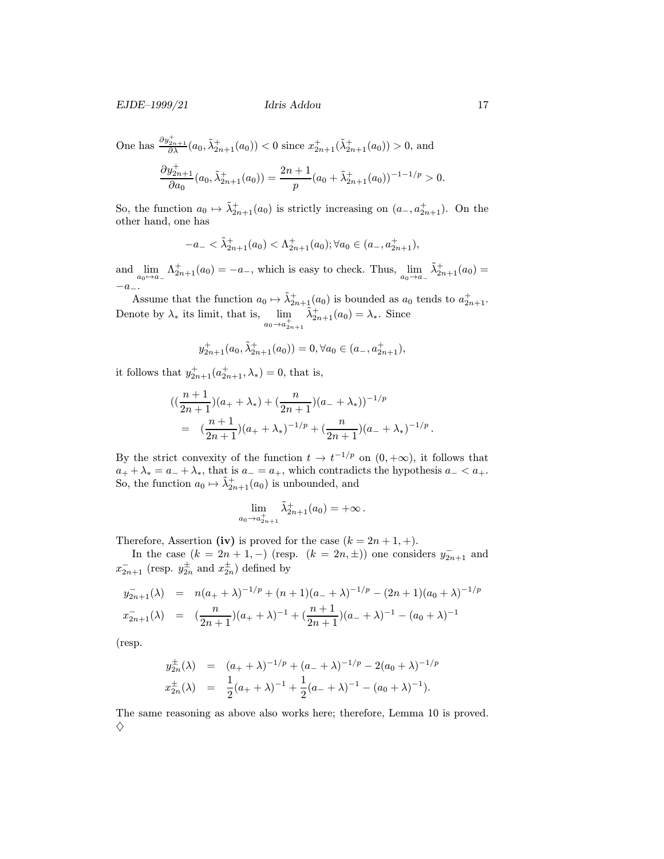One has  $\frac{\partial y_{2n+1}^+}{\partial \lambda}(a_0, \tilde{\lambda}_{2n+1}^+(a_0)) < 0$  since  $x_{2n+1}^+ (\tilde{\lambda}_{2n+1}^+(a_0)) > 0$ , and

$$
\frac{\partial y_{2n+1}^+}{\partial a_0}(a_0, \tilde{\lambda}_{2n+1}^+(a_0)) = \frac{2n+1}{p}(a_0 + \tilde{\lambda}_{2n+1}^+(a_0))^{-1-1/p} > 0.
$$

So, the function  $a_0 \mapsto \tilde{\lambda}_{2n+1}^+(a_0)$  is strictly increasing on  $(a_-, a_{2n+1}^+)$ . On the other hand, one has

$$
-a_- < \tilde{\lambda}_{2n+1}^+(a_0) < \Lambda_{2n+1}^+(a_0); \forall a_0 \in (a_-, a_{2n+1}^+),
$$

and  $\lim_{a_0 \to a_-} \Lambda^+_{2n+1}(a_0) = -a_-$ , which is easy to check. Thus,  $\lim_{a_0 \to a_-} \tilde{\lambda}^+_{2n+1}(a_0) =$  $-a_-\dots$ 

Assume that the function  $a_0 \mapsto \tilde{\lambda}_{2n+1}^+(a_0)$  is bounded as  $a_0$  tends to  $a_{2n+1}^+$ . Denote by  $\lambda_*$  its limit, that is,  $\lim_{a_0 \to a_{2n+1}^+}$  $\tilde{\lambda}_{2n+1}^{+}(a_0) = \lambda_*$ . Since

$$
y_{2n+1}^+(a_0, \tilde{\lambda}_{2n+1}^+(a_0)) = 0, \forall a_0 \in (a_-, a_{2n+1}^+),
$$

it follows that  $y_{2n+1}^+(a_{2n+1}^+, \lambda_*) = 0$ , that is,

$$
((\frac{n+1}{2n+1})(a_+ + \lambda_*) + (\frac{n}{2n+1})(a_- + \lambda_*))^{-1/p}
$$
  
= 
$$
(\frac{n+1}{2n+1})(a_+ + \lambda_*)^{-1/p} + (\frac{n}{2n+1})(a_- + \lambda_*)^{-1/p}.
$$

By the strict convexity of the function  $t \to t^{-1/p}$  on  $(0, +\infty)$ , it follows that  $a_+ + \lambda_* = a_- + \lambda_*,$  that is  $a_- = a_+$ , which contradicts the hypothesis  $a_- < a_+$ . So, the function  $a_0 \mapsto \tilde{\lambda}_{2n+1}^+(a_0)$  is unbounded, and

$$
\lim_{a_0 \to a_{2n+1}^+} \tilde{\lambda}_{2n+1}^+(a_0) = +\infty \, .
$$

Therefore, Assertion (iv) is proved for the case  $(k = 2n + 1, +)$ .

In the case  $(k = 2n + 1, -)$  (resp.  $(k = 2n, \pm)$ ) one considers  $y_{2n+1}^-$  and  $x_{2n+1}^-$  (resp.  $y_{2n}^{\pm}$  and  $x_{2n}^{\pm}$ ) defined by

$$
y_{2n+1}^{-}(\lambda) = n(a_{+} + \lambda)^{-1/p} + (n+1)(a_{-} + \lambda)^{-1/p} - (2n+1)(a_{0} + \lambda)^{-1/p}
$$
  

$$
x_{2n+1}^{-}(\lambda) = (\frac{n}{2n+1})(a_{+} + \lambda)^{-1} + (\frac{n+1}{2n+1})(a_{-} + \lambda)^{-1} - (a_{0} + \lambda)^{-1}
$$

(resp.

$$
y_{2n}^{\pm}(\lambda) = (a_+ + \lambda)^{-1/p} + (a_- + \lambda)^{-1/p} - 2(a_0 + \lambda)^{-1/p}
$$
  

$$
x_{2n}^{\pm}(\lambda) = \frac{1}{2}(a_+ + \lambda)^{-1} + \frac{1}{2}(a_- + \lambda)^{-1} - (a_0 + \lambda)^{-1}).
$$

The same reasoning as above also works here; therefore, Lemma 10 is proved.  $\Diamond$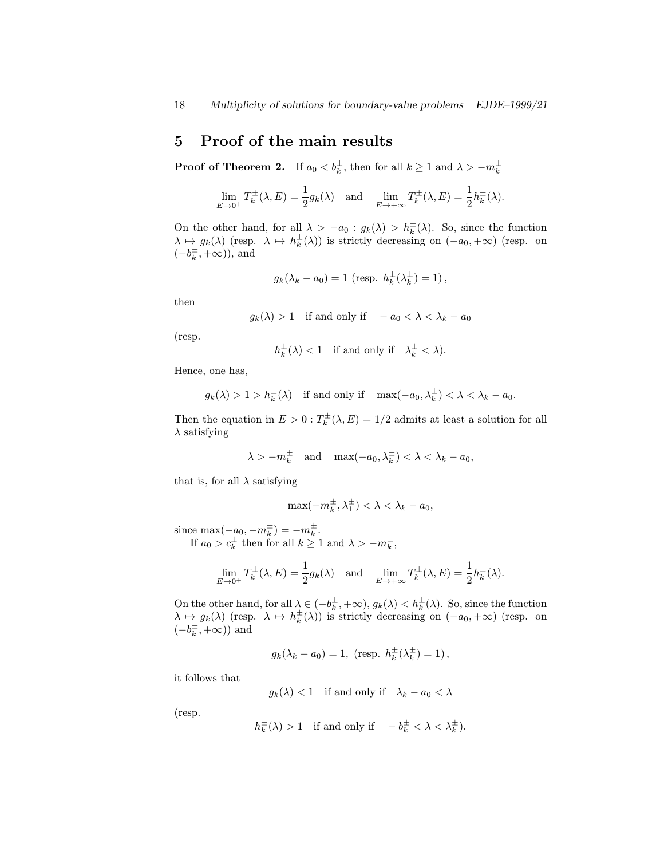# 5 Proof of the main results

**Proof of Theorem 2.** If  $a_0 < b_k^{\pm}$ , then for all  $k \ge 1$  and  $\lambda > -m_k^{\pm}$ 

$$
\lim_{E \to 0^+} T_k^{\pm}(\lambda, E) = \frac{1}{2} g_k(\lambda) \quad \text{and} \quad \lim_{E \to +\infty} T_k^{\pm}(\lambda, E) = \frac{1}{2} h_k^{\pm}(\lambda).
$$

On the other hand, for all  $\lambda > -a_0 : g_k(\lambda) > h_k^{\pm}(\lambda)$ . So, since the function  $\lambda \mapsto g_k(\lambda)$  (resp.  $\lambda \mapsto h_k^{\pm}(\lambda)$ ) is strictly decreasing on  $(-a_0, +\infty)$  (resp. on  $(-b_k^{\pm}, +\infty)$ ), and

$$
g_k(\lambda_k - a_0) = 1 \text{ (resp. } h_k^{\pm}(\lambda_k^{\pm}) = 1),
$$

then

$$
g_k(\lambda) > 1
$$
 if and only if  $-a_0 < \lambda < \lambda_k - a_0$ 

(resp.

$$
h_k^{\pm}(\lambda) < 1 \quad \text{if and only if} \quad \lambda_k^{\pm} < \lambda).
$$

Hence, one has,

$$
g_k(\lambda) > 1 > h_k^{\pm}(\lambda)
$$
 if and only if  $\max(-a_0, \lambda_k^{\pm}) < \lambda < \lambda_k - a_0$ .

Then the equation in  $E > 0$ :  $T_k^{\pm}(\lambda, E) = 1/2$  admits at least a solution for all  $\lambda$  satisfying

$$
\lambda > -m_k^{\pm}
$$
 and  $\max(-a_0, \lambda_k^{\pm}) < \lambda < \lambda_k - a_0$ ,

that is, for all  $\lambda$  satisfying

$$
\max(-m_k^{\pm},\lambda_1^{\pm}) < \lambda < \lambda_k - a_0,
$$

since max $(-a_0, -m_k^{\pm}) = -m_k^{\pm}$ .

If  $a_0 > c_k^{\pm}$  then for all  $k \geq 1$  and  $\lambda > -m_k^{\pm}$ ,

$$
\lim_{E \to 0^+} T_k^{\pm}(\lambda, E) = \frac{1}{2} g_k(\lambda) \quad \text{and} \quad \lim_{E \to +\infty} T_k^{\pm}(\lambda, E) = \frac{1}{2} h_k^{\pm}(\lambda).
$$

On the other hand, for all  $\lambda \in (-b_k^{\pm}, +\infty)$ ,  $g_k(\lambda) < h_k^{\pm}(\lambda)$ . So, since the function  $\lambda \mapsto g_k(\lambda)$  (resp.  $\lambda \mapsto h_k^{\pm}(\lambda)$ ) is strictly decreasing on  $(-a_0, +\infty)$  (resp. on  $(-b_k^{\pm}, +\infty)$  and

$$
g_k(\lambda_k - a_0) = 1
$$
, (resp.  $h_k^{\pm}(\lambda_k^{\pm}) = 1$ ),

it follows that

$$
g_k(\lambda) < 1
$$
 if and only if  $\lambda_k - a_0 < \lambda$ 

(resp.

$$
h_k^{\pm}(\lambda) > 1
$$
 if and only if  $-b_k^{\pm} < \lambda < \lambda_k^{\pm}$ ).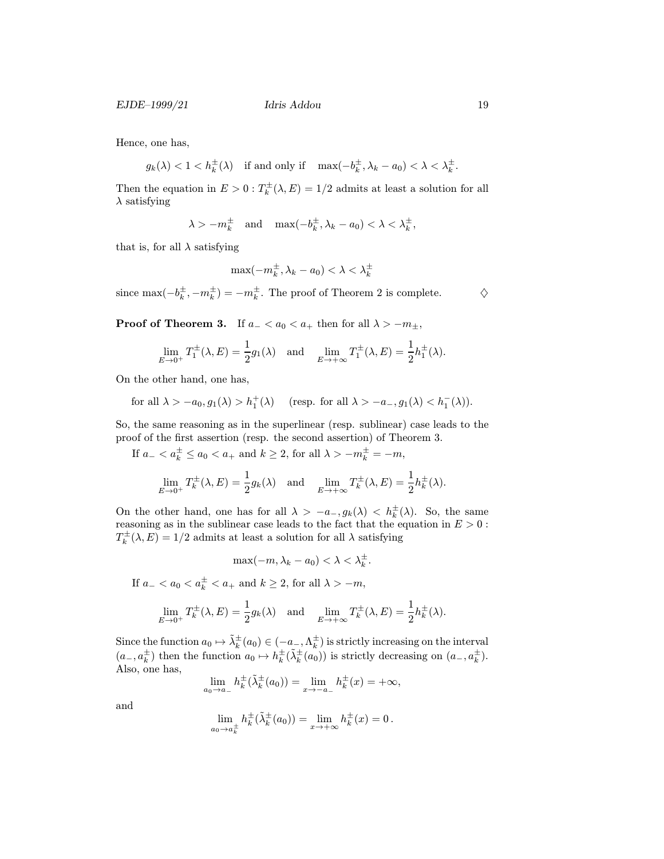Hence, one has,

 $g_k(\lambda) < 1 < h_k^{\pm}(\lambda) \quad \text{if and only if} \quad \max(-b_k^{\pm},\lambda_k-a_0) < \lambda < \lambda_k^{\pm}.$ 

Then the equation in  $E > 0$ :  $T_k^{\pm}(\lambda, E) = 1/2$  admits at least a solution for all  $\lambda$  satisfying

$$
\lambda > -m_k^{\pm}
$$
 and  $\max(-b_k^{\pm}, \lambda_k - a_0) < \lambda < \lambda_k^{\pm}$ ,

that is, for all  $\lambda$  satisfying

$$
\max(-m_k^{\pm},\lambda_k-a_0)<\lambda<\lambda_k^{\pm}
$$

since  $\max(-b_k^{\pm}, -m_k^{\pm}) = -m_k^{\pm}$ . The proof of Theorem 2 is complete.  $\diamondsuit$ 

**Proof of Theorem 3.** If  $a_$  <  $a_0$  <  $a_+$  then for all  $\lambda$  >  $-m_{\pm}$ ,

$$
\lim_{E \to 0^+} T_1^{\pm}(\lambda, E) = \frac{1}{2} g_1(\lambda) \text{ and } \lim_{E \to +\infty} T_1^{\pm}(\lambda, E) = \frac{1}{2} h_1^{\pm}(\lambda).
$$

On the other hand, one has,

for all  $\lambda > -a_0, g_1(\lambda) > h_1^+(\lambda)$  (resp. for all  $\lambda > -a_-, g_1(\lambda) < h_1^-(\lambda)$ ).

So, the same reasoning as in the superlinear (resp. sublinear) case leads to the proof of the first assertion (resp. the second assertion) of Theorem 3.

If  $a_- < a_k^{\pm} \le a_0 < a_+ \text{ and } k \ge 2 \text{, for all } \lambda > -m_k^{\pm} = -m$ ,  $\lim_{E \to 0^+} T_k^{\pm}(\lambda, E) = \frac{1}{2} g_k(\lambda) \text{ and } \lim_{E \to +\infty} T_k^{\pm}(\lambda, E) = \frac{1}{2} h_k^{\pm}(\lambda).$ 

On the other hand, one has for all  $\lambda > -a_-, g_k(\lambda) < h_k^{\pm}(\lambda)$ . So, the same reasoning as in the sublinear case leads to the fact that the equation in  $E > 0$ :  $T_k^{\pm}(\lambda, E) = 1/2$  admits at least a solution for all  $\lambda$  satisfying

$$
\max(-m, \lambda_k - a_0) < \lambda < \lambda_k^{\pm}.
$$
\nIf  $a_- < a_0 < a_k^{\pm} < a_+$  and  $k \ge 2$ , for all  $\lambda > -m$ ,\n
$$
\lim_{E \to 0^+} T_k^{\pm}(\lambda, E) = \frac{1}{2} g_k(\lambda) \quad \text{and} \quad \lim_{E \to +\infty} T_k^{\pm}(\lambda, E) = \frac{1}{2} h_k^{\pm}(\lambda).
$$

Since the function  $a_0 \mapsto \tilde{\lambda}_k^{\pm}(a_0) \in (-a_-, \Lambda_k^{\pm})$  is strictly increasing on the interval  $(a_-,a_k^{\pm})$  then the function  $a_0 \mapsto h_k^{\pm}(\tilde{\lambda}_k^{\pm}(a_0))$  is strictly decreasing on  $(a_-,a_k^{\pm})$ . Also, one has,

$$
\lim_{a_0 \to a_-} h_k^{\pm}(\tilde{\lambda}_k^{\pm}(a_0)) = \lim_{x \to -a_-} h_k^{\pm}(x) = +\infty,
$$

and

$$
\lim_{a_0 \to a_k^{\pm}} h_k^{\pm}(\tilde{\lambda}_k^{\pm}(a_0)) = \lim_{x \to +\infty} h_k^{\pm}(x) = 0.
$$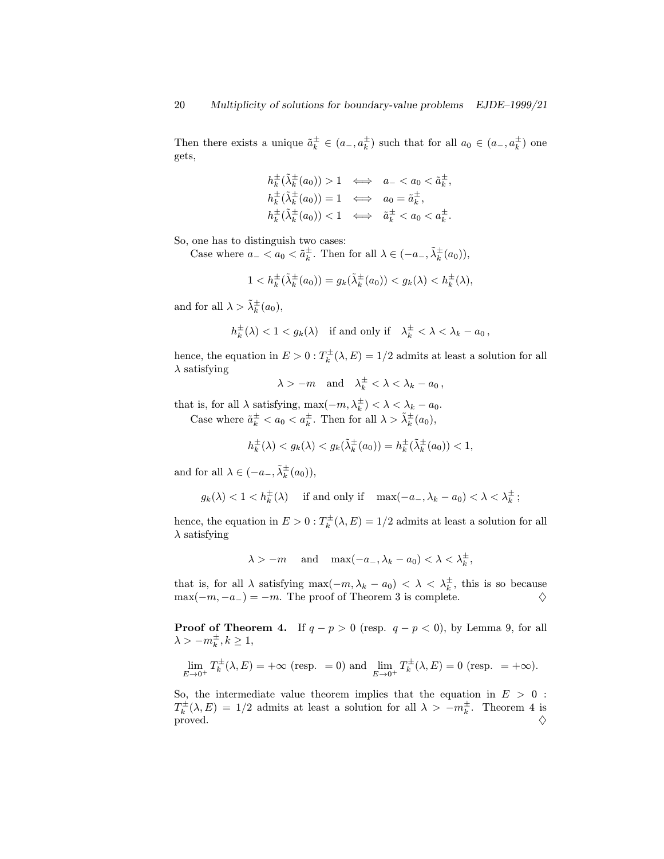Then there exists a unique  $\tilde{a}_k^{\pm} \in (a_-, a_k^{\pm})$  such that for all  $a_0 \in (a_-, a_k^{\pm})$  one gets,

$$
h_k^{\pm}(\tilde{\lambda}_k^{\pm}(a_0)) > 1 \iff a_- < a_0 < \tilde{a}_k^{\pm},
$$
  
\n
$$
h_k^{\pm}(\tilde{\lambda}_k^{\pm}(a_0)) = 1 \iff a_0 = \tilde{a}_k^{\pm},
$$
  
\n
$$
h_k^{\pm}(\tilde{\lambda}_k^{\pm}(a_0)) < 1 \iff \tilde{a}_k^{\pm} < a_0 < a_k^{\pm}.
$$

So, one has to distinguish two cases:

Case where  $a_- < a_0 < \tilde{a}_k^{\pm}$ . Then for all  $\lambda \in (-a_-,\tilde{\lambda}_k^{\pm}(a_0)),$ 

$$
1 < h_k^{\pm}(\tilde{\lambda}_k^{\pm}(a_0)) = g_k(\tilde{\lambda}_k^{\pm}(a_0)) < g_k(\lambda) < h_k^{\pm}(\lambda),
$$

and for all  $\lambda > \tilde{\lambda}_k^{\pm}(a_0)$ ,

$$
h_k^{\pm}(\lambda) < 1 < g_k(\lambda) \quad \text{if and only if} \quad \lambda_k^{\pm} < \lambda < \lambda_k - a_0 \,,
$$

hence, the equation in  $E > 0$  :  $T_k^{\pm}(\lambda, E) = 1/2$  admits at least a solution for all  $\lambda$  satisfying

$$
\lambda > -m \quad \text{and} \quad \lambda_k^{\pm} < \lambda < \lambda_k - a_0 \,,
$$

that is, for all  $\lambda$  satisfying,  $\max(-m, \lambda_k^{\pm}) < \lambda < \lambda_k - a_0$ . Case where  $\tilde{a}_k^{\pm} < a_0 < a_k^{\pm}$ . Then for all  $\lambda > \tilde{\lambda}_k^{\pm}(a_0)$ ,

$$
h_k^{\pm}(\lambda) < g_k(\lambda) < g_k(\tilde{\lambda}_k^{\pm}(a_0)) = h_k^{\pm}(\tilde{\lambda}_k^{\pm}(a_0)) < 1,
$$

and for all  $\lambda \in (-a_-, \tilde{\lambda}_k^{\pm}(a_0)),$ 

$$
g_k(\lambda) < 1 < h_k^{\pm}(\lambda)
$$
 if and only if  $\max(-a_-, \lambda_k - a_0) < \lambda < \lambda_k^{\pm}$ ;

hence, the equation in  $E > 0$  :  $T_k^{\pm}(\lambda, E) = 1/2$  admits at least a solution for all  $\lambda$  satisfying

$$
\lambda > -m \quad \text{and} \quad \max(-a_-, \lambda_k - a_0) < \lambda < \lambda_k^{\pm},
$$

that is, for all  $\lambda$  satisfying max $(-m, \lambda_k - a_0) < \lambda < \lambda_k^{\pm}$ , this is so because  $\max(-m, -a_{-}) = -m$ . The proof of Theorem 3 is complete.  $\diamondsuit$ 

**Proof of Theorem 4.** If  $q - p > 0$  (resp.  $q - p < 0$ ), by Lemma 9, for all  $\lambda > -m_k^{\pm}, k \geq 1,$ 

$$
\lim_{E \to 0^+} T_k^{\pm}(\lambda, E) = +\infty \text{ (resp. = 0) and } \lim_{E \to 0^+} T_k^{\pm}(\lambda, E) = 0 \text{ (resp. } = +\infty).
$$

So, the intermediate value theorem implies that the equation in  $E > 0$ :  $T_k^{\pm}(\lambda, E) = 1/2$  admits at least a solution for all  $\lambda > -m_k^{\pm}$ . Theorem 4 is proved.  $\diamondsuit$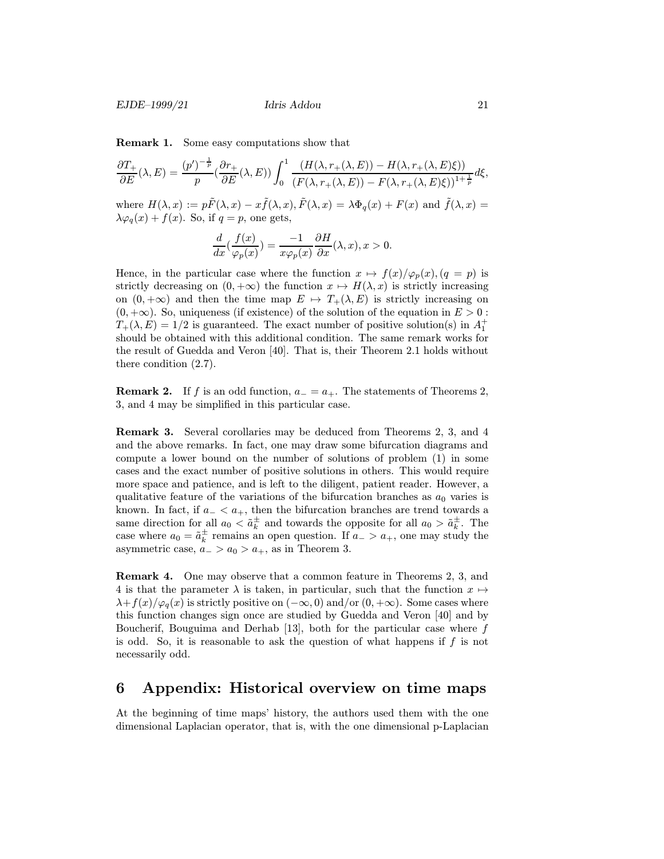Remark 1. Some easy computations show that

$$
\frac{\partial T_+}{\partial E}(\lambda, E) = \frac{(p')^{-\frac{1}{p}}}{p} \left(\frac{\partial r_+}{\partial E}(\lambda, E)\right) \int_0^1 \frac{\left(H(\lambda, r_+(\lambda, E)) - H(\lambda, r_+(\lambda, E)\xi)\right)}{\left(F(\lambda, r_+(\lambda, E)) - F(\lambda, r_+(\lambda, E)\xi)\right)^{1+\frac{1}{p}}} d\xi,
$$

where  $H(\lambda, x) := p\tilde{F}(\lambda, x) - x\tilde{f}(\lambda, x), \tilde{F}(\lambda, x) = \lambda \Phi_q(x) + F(x)$  and  $\tilde{f}(\lambda, x) =$  $\lambda \varphi_q(x) + f(x)$ . So, if  $q = p$ , one gets,

$$
\frac{d}{dx}\left(\frac{f(x)}{\varphi_p(x)}\right) = \frac{-1}{x\varphi_p(x)}\frac{\partial H}{\partial x}(\lambda, x), x > 0.
$$

Hence, in the particular case where the function  $x \mapsto f(x)/\varphi_p(x)$ ,  $(q = p)$  is strictly decreasing on  $(0, +\infty)$  the function  $x \mapsto H(\lambda, x)$  is strictly increasing on  $(0, +\infty)$  and then the time map  $E \mapsto T_+(\lambda, E)$  is strictly increasing on  $(0, +\infty)$ . So, uniqueness (if existence) of the solution of the equation in  $E > 0$ :  $T_+(\lambda, E) = 1/2$  is guaranteed. The exact number of positive solution(s) in  $A_1^+$ should be obtained with this additional condition. The same remark works for the result of Guedda and Veron [40]. That is, their Theorem 2.1 holds without there condition (2.7).

**Remark 2.** If f is an odd function,  $a_0 = a_+$ . The statements of Theorems 2, 3, and 4 may be simplified in this particular case.

Remark 3. Several corollaries may be deduced from Theorems 2, 3, and 4 and the above remarks. In fact, one may draw some bifurcation diagrams and compute a lower bound on the number of solutions of problem (1) in some cases and the exact number of positive solutions in others. This would require more space and patience, and is left to the diligent, patient reader. However, a qualitative feature of the variations of the bifurcation branches as  $a_0$  varies is known. In fact, if  $a_$  <  $a_+$ , then the bifurcation branches are trend towards a same direction for all  $a_0 < \tilde{a}_k^{\pm}$  and towards the opposite for all  $a_0 > \tilde{a}_k^{\pm}$ . The case where  $a_0 = \tilde{a}_k^{\pm}$  remains an open question. If  $a_- > a_+$ , one may study the asymmetric case,  $a_{-} > a_0 > a_{+}$ , as in Theorem 3.

Remark 4. One may observe that a common feature in Theorems 2, 3, and 4 is that the parameter  $\lambda$  is taken, in particular, such that the function  $x \mapsto$  $\lambda+f(x)/\varphi_q(x)$  is strictly positive on  $(-\infty,0)$  and/or  $(0,+\infty)$ . Some cases where this function changes sign once are studied by Guedda and Veron [40] and by Boucherif, Bouguima and Derhab  $[13]$ , both for the particular case where f is odd. So, it is reasonable to ask the question of what happens if  $f$  is not necessarily odd.

### 6 Appendix: Historical overview on time maps

At the beginning of time maps' history, the authors used them with the one dimensional Laplacian operator, that is, with the one dimensional p-Laplacian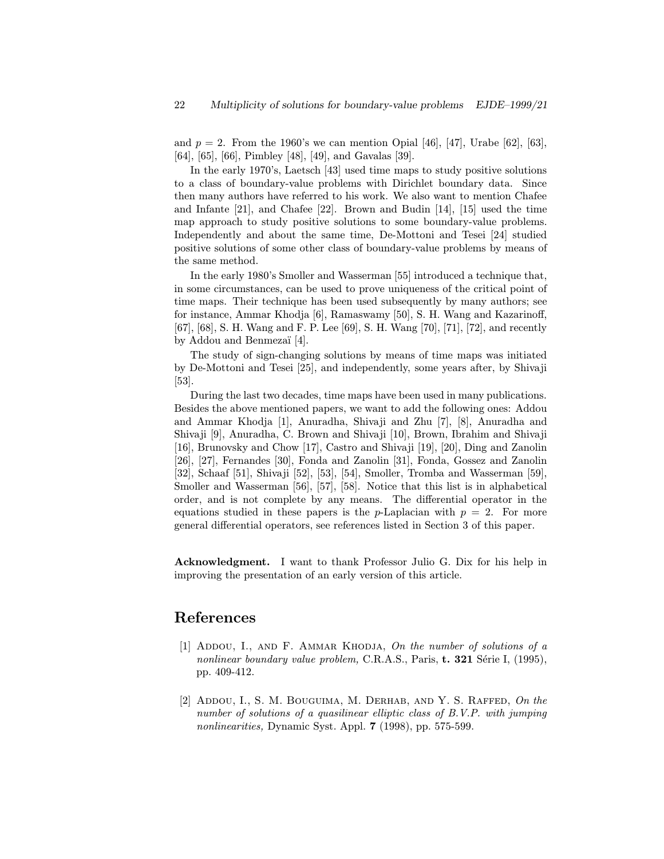and  $p = 2$ . From the 1960's we can mention Opial [46], [47], Urabe [62], [63], [64], [65], [66], Pimbley [48], [49], and Gavalas [39].

In the early 1970's, Laetsch [43] used time maps to study positive solutions to a class of boundary-value problems with Dirichlet boundary data. Since then many authors have referred to his work. We also want to mention Chafee and Infante [21], and Chafee [22]. Brown and Budin [14], [15] used the time map approach to study positive solutions to some boundary-value problems. Independently and about the same time, De-Mottoni and Tesei [24] studied positive solutions of some other class of boundary-value problems by means of the same method.

In the early 1980's Smoller and Wasserman [55] introduced a technique that, in some circumstances, can be used to prove uniqueness of the critical point of time maps. Their technique has been used subsequently by many authors; see for instance, Ammar Khodja [6], Ramaswamy [50], S. H. Wang and Kazarinoff, [67], [68], S. H. Wang and F. P. Lee [69], S. H. Wang [70], [71], [72], and recently by Addou and Benmezaï [4].

The study of sign-changing solutions by means of time maps was initiated by De-Mottoni and Tesei [25], and independently, some years after, by Shivaji [53].

During the last two decades, time maps have been used in many publications. Besides the above mentioned papers, we want to add the following ones: Addou and Ammar Khodja [1], Anuradha, Shivaji and Zhu [7], [8], Anuradha and Shivaji [9], Anuradha, C. Brown and Shivaji [10], Brown, Ibrahim and Shivaji [16], Brunovsky and Chow [17], Castro and Shivaji [19], [20], Ding and Zanolin [26], [27], Fernandes [30], Fonda and Zanolin [31], Fonda, Gossez and Zanolin [32], Schaaf [51], Shivaji [52], [53], [54], Smoller, Tromba and Wasserman [59], Smoller and Wasserman [56], [57], [58]. Notice that this list is in alphabetical order, and is not complete by any means. The differential operator in the equations studied in these papers is the p-Laplacian with  $p = 2$ . For more general differential operators, see references listed in Section 3 of this paper.

Acknowledgment. I want to thank Professor Julio G. Dix for his help in improving the presentation of an early version of this article.

### References

- [1] ADDOU, I., AND F. AMMAR KHODJA, On the number of solutions of a nonlinear boundary value problem, C.R.A.S., Paris,  $t. 321$  Série I, (1995), pp. 409-412.
- [2] Addou, I., S. M. Bouguima, M. Derhab, and Y. S. Raffed, On the number of solutions of a quasilinear elliptic class of B.V.P. with jumping nonlinearities, Dynamic Syst. Appl. 7 (1998), pp. 575-599.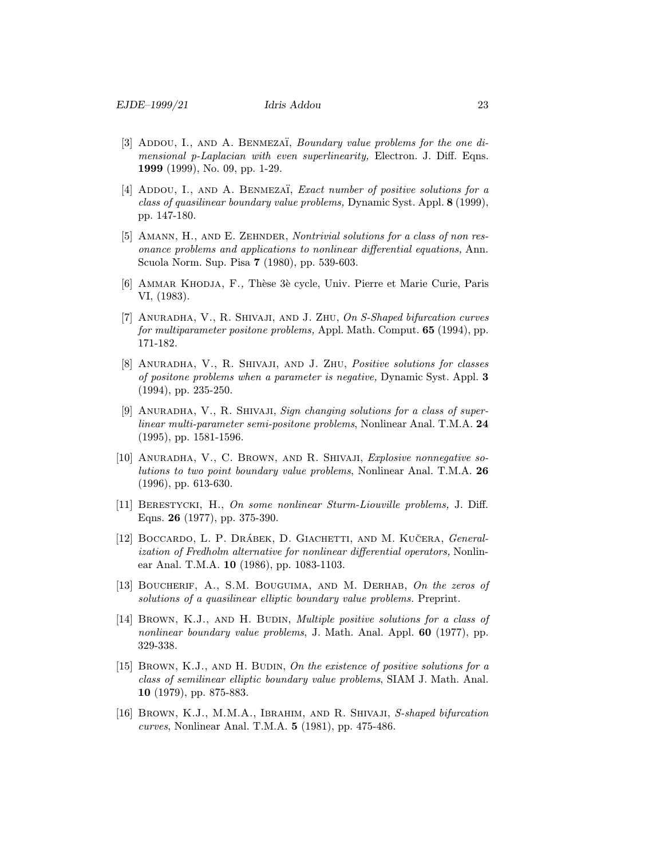- [3] ADDOU, I., AND A. BENMEZAÏ, *Boundary value problems for the one di*mensional p-Laplacian with even superlinearity, Electron. J. Diff. Eqns. 1999 (1999), No. 09, pp. 1-29.
- [4] ADDOU, I., AND A. BENMEZAÏ, *Exact number of positive solutions for a* class of quasilinear boundary value problems, Dynamic Syst. Appl. 8 (1999), pp. 147-180.
- [5] AMANN, H., AND E. ZEHNDER, Nontrivial solutions for a class of non resonance problems and applications to nonlinear differential equations, Ann. Scuola Norm. Sup. Pisa 7 (1980), pp. 539-603.
- [6] AMMAR KHODJA, F., Thèse 3è cycle, Univ. Pierre et Marie Curie, Paris VI, (1983).
- [7] Anuradha, V., R. Shivaji, and J. Zhu, On S-Shaped bifurcation curves for multiparameter positone problems, Appl. Math. Comput. 65 (1994), pp. 171-182.
- [8] ANURADHA, V., R. SHIVAJI, AND J. ZHU, Positive solutions for classes of positone problems when a parameter is negative, Dynamic Syst. Appl. 3 (1994), pp. 235-250.
- [9] ANURADHA, V., R. SHIVAJI, Sign changing solutions for a class of superlinear multi-parameter semi-positone problems, Nonlinear Anal. T.M.A. 24 (1995), pp. 1581-1596.
- [10] ANURADHA, V., C. BROWN, AND R. SHIVAJI, Explosive nonnegative solutions to two point boundary value problems, Nonlinear Anal. T.M.A. 26 (1996), pp. 613-630.
- [11] BERESTYCKI, H., On some nonlinear Sturm-Liouville problems, J. Diff. Eqns. 26 (1977), pp. 375-390.
- [12] BOCCARDO, L. P. DRÁBEK, D. GIACHETTI, AND M. KUČERA, *General*ization of Fredholm alternative for nonlinear differential operators, Nonlinear Anal. T.M.A. 10 (1986), pp. 1083-1103.
- [13] BOUCHERIF, A., S.M. BOUGUIMA, AND M. DERHAB, On the zeros of solutions of a quasilinear elliptic boundary value problems. Preprint.
- [14] BROWN, K.J., AND H. BUDIN, *Multiple positive solutions for a class of* nonlinear boundary value problems, J. Math. Anal. Appl. 60 (1977), pp. 329-338.
- [15] BROWN, K.J., AND H. BUDIN, On the existence of positive solutions for a class of semilinear elliptic boundary value problems, SIAM J. Math. Anal. 10 (1979), pp. 875-883.
- [16] BROWN, K.J., M.M.A., IBRAHIM, AND R. SHIVAJI, S-shaped bifurcation curves, Nonlinear Anal. T.M.A. 5 (1981), pp. 475-486.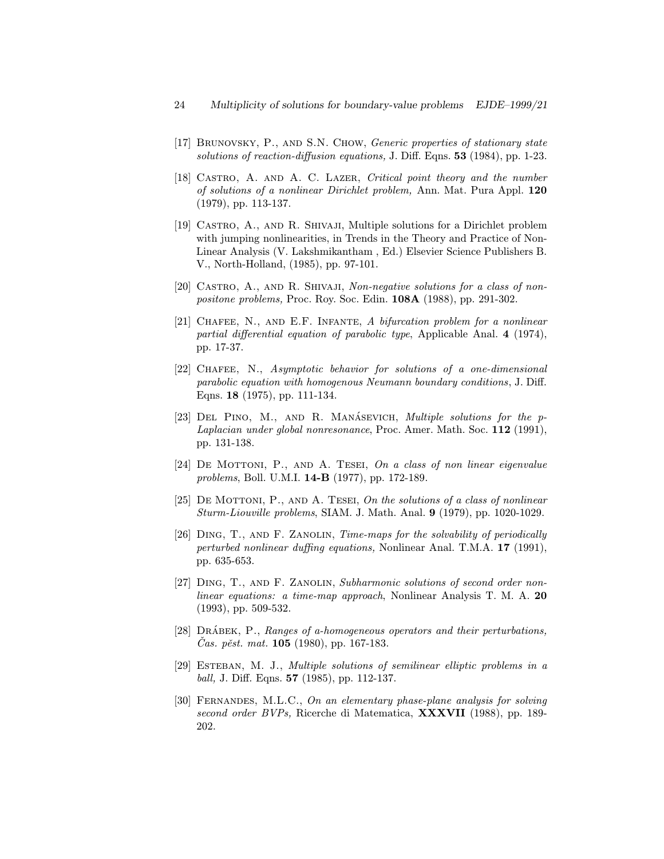- [17] Brunovsky, P., and S.N. Chow, Generic properties of stationary state solutions of reaction-diffusion equations, J. Diff. Eqns. 53 (1984), pp. 1-23.
- [18] CASTRO, A. AND A. C. LAZER, Critical point theory and the number of solutions of a nonlinear Dirichlet problem, Ann. Mat. Pura Appl. 120 (1979), pp. 113-137.
- [19] Castro, A., and R. Shivaji, Multiple solutions for a Dirichlet problem with jumping nonlinearities, in Trends in the Theory and Practice of Non-Linear Analysis (V. Lakshmikantham , Ed.) Elsevier Science Publishers B. V., North-Holland, (1985), pp. 97-101.
- [20] CASTRO, A., AND R. SHIVAJI, Non-negative solutions for a class of nonpositone problems, Proc. Roy. Soc. Edin. 108A (1988), pp. 291-302.
- [21] CHAFEE, N., AND E.F. INFANTE, A bifurcation problem for a nonlinear partial differential equation of parabolic type, Applicable Anal. 4 (1974), pp. 17-37.
- [22] Chafee, N., Asymptotic behavior for solutions of a one-dimensional parabolic equation with homogenous Neumann boundary conditions, J. Diff. Eqns. 18 (1975), pp. 111-134.
- [23] DEL PINO, M., AND R. MANÁSEVICH, *Multiple solutions for the p*-Laplacian under global nonresonance, Proc. Amer. Math. Soc. 112 (1991), pp. 131-138.
- [24] DE MOTTONI, P., AND A. TESEI, On a class of non linear eigenvalue problems, Boll. U.M.I. 14-B (1977), pp. 172-189.
- [25] DE MOTTONI, P., AND A. TESEI, On the solutions of a class of nonlinear Sturm-Liouville problems, SIAM. J. Math. Anal. 9 (1979), pp. 1020-1029.
- [26] Ding, T., and F. Zanolin, Time-maps for the solvability of periodically perturbed nonlinear duffing equations, Nonlinear Anal. T.M.A. 17 (1991), pp. 635-653.
- [27] Ding, T., and F. Zanolin, Subharmonic solutions of second order nonlinear equations: a time-map approach, Nonlinear Analysis T. M. A. 20 (1993), pp. 509-532.
- [28]  $DR\acute{A}BEK$ , P., Ranges of a-homogeneous operators and their perturbations,  $\check{C}$ as. pěst. mat. **105** (1980), pp. 167-183.
- [29] ESTEBAN, M. J., Multiple solutions of semilinear elliptic problems in a ball, J. Diff. Eqns. 57 (1985), pp. 112-137.
- [30] Fernandes, M.L.C., On an elementary phase-plane analysis for solving second order BVPs, Ricerche di Matematica, **XXXVII** (1988), pp. 189-202.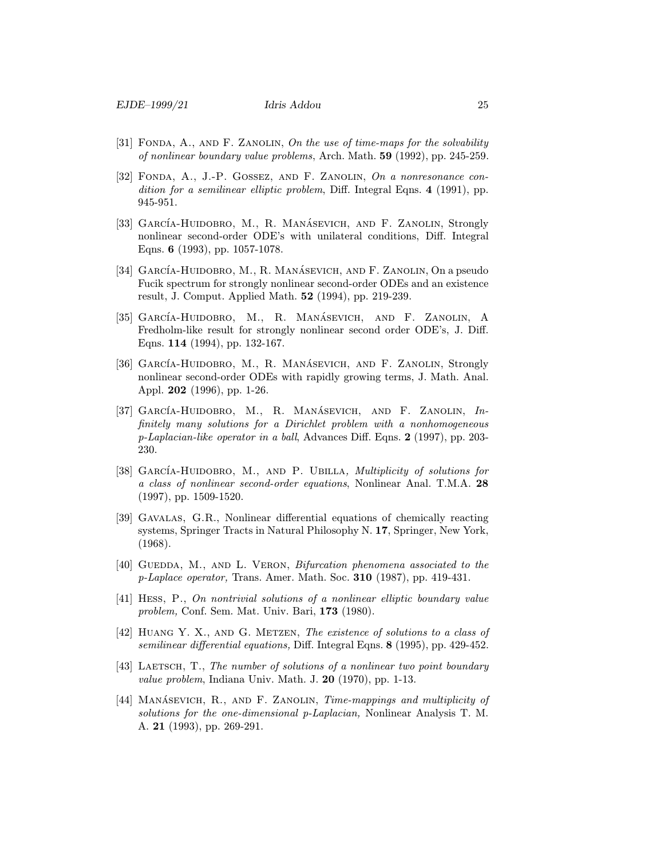- [31] FONDA, A., AND F. ZANOLIN, On the use of time-maps for the solvability of nonlinear boundary value problems, Arch. Math. 59 (1992), pp. 245-259.
- [32] Fonda, A., J.-P. Gossez, and F. Zanolin, On a nonresonance condition for a semilinear elliptic problem, Diff. Integral Eqns. 4 (1991), pp. 945-951.
- [33] GARCÍA-HUIDOBRO, M., R. MANÁSEVICH, AND F. ZANOLIN, Strongly nonlinear second-order ODE's with unilateral conditions, Diff. Integral Eqns. 6 (1993), pp. 1057-1078.
- [34] GARCÍA-HUIDOBRO, M., R. MANÁSEVICH, AND F. ZANOLIN, On a pseudo Fucik spectrum for strongly nonlinear second-order ODEs and an existence result, J. Comput. Applied Math. 52 (1994), pp. 219-239.
- [35] GARCÍA-HUIDOBRO, M., R. MANÁSEVICH, AND F. ZANOLIN, A Fredholm-like result for strongly nonlinear second order ODE's, J. Diff. Eqns. 114 (1994), pp. 132-167.
- [36] GARCÍA-HUIDOBRO, M., R. MANÁSEVICH, AND F. ZANOLIN, Strongly nonlinear second-order ODEs with rapidly growing terms, J. Math. Anal. Appl. 202 (1996), pp. 1-26.
- [37] GARCÍA-HUIDOBRO, M., R. MANÁSEVICH, AND F. ZANOLIN,  $In$ finitely many solutions for a Dirichlet problem with a nonhomogeneous p-Laplacian-like operator in a ball, Advances Diff. Eqns.  $2$  (1997), pp. 203-230.
- [38] GARCÍA-HUIDOBRO, M., AND P. UBILLA, *Multiplicity of solutions for* a class of nonlinear second-order equations, Nonlinear Anal. T.M.A. 28 (1997), pp. 1509-1520.
- [39] Gavalas, G.R., Nonlinear differential equations of chemically reacting systems, Springer Tracts in Natural Philosophy N. 17, Springer, New York, (1968).
- [40] GUEDDA, M., AND L. VERON, *Bifurcation phenomena associated to the* p-Laplace operator, Trans. Amer. Math. Soc. 310 (1987), pp. 419-431.
- [41] Hess, P., On nontrivial solutions of a nonlinear elliptic boundary value problem, Conf. Sem. Mat. Univ. Bari, 173 (1980).
- [42] Huang Y. X., and G. Metzen, The existence of solutions to a class of semilinear differential equations, Diff. Integral Eqns. 8 (1995), pp. 429-452.
- [43] LAETSCH, T., The number of solutions of a nonlinear two point boundary value problem, Indiana Univ. Math. J. 20 (1970), pp. 1-13.
- [44] MANASEVICH, R., AND F. ZANOLIN, Time-mappings and multiplicity of solutions for the one-dimensional p-Laplacian, Nonlinear Analysis T. M. A. 21 (1993), pp. 269-291.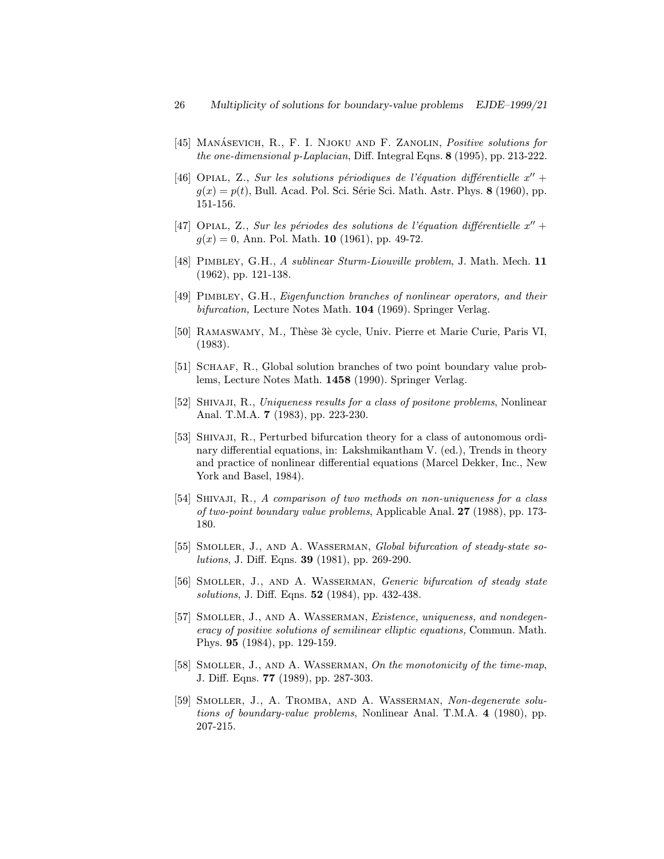- [45] MANÁSEVICH, R., F. I. NJOKU AND F. ZANOLIN, Positive solutions for the one-dimensional p-Laplacian, Diff. Integral Eqns. 8 (1995), pp. 213-222.
- [46] OPIAL, Z., Sur les solutions périodiques de l'équation différentielle  $x'' +$  $g(x) = p(t)$ , Bull. Acad. Pol. Sci. Série Sci. Math. Astr. Phys. 8 (1960), pp. 151-156.
- [47] Opial, Z., Sur les périodes des solutions de l'équation différentielle  $x'' +$  $g(x) = 0$ , Ann. Pol. Math. 10 (1961), pp. 49-72.
- [48] PIMBLEY, G.H., A sublinear Sturm-Liouville problem, J. Math. Mech. 11 (1962), pp. 121-138.
- [49] Pimbley, G.H., Eigenfunction branches of nonlinear operators, and their bifurcation, Lecture Notes Math. 104 (1969). Springer Verlag.
- [50] RAMASWAMY, M., Thèse 3è cycle, Univ. Pierre et Marie Curie, Paris VI, (1983).
- [51] SCHAAF, R., Global solution branches of two point boundary value problems, Lecture Notes Math. 1458 (1990). Springer Verlag.
- [52] SHIVAJI, R., Uniqueness results for a class of positone problems, Nonlinear Anal. T.M.A. 7 (1983), pp. 223-230.
- [53] Shivaji, R., Perturbed bifurcation theory for a class of autonomous ordinary differential equations, in: Lakshmikantham V. (ed.), Trends in theory and practice of nonlinear differential equations (Marcel Dekker, Inc., New York and Basel, 1984).
- [54] Shivaji, R., A comparison of two methods on non-uniqueness for a class of two-point boundary value problems, Applicable Anal. 27 (1988), pp. 173- 180.
- [55] SMOLLER, J., AND A. WASSERMAN, Global bifurcation of steady-state solutions, J. Diff. Eqns. 39 (1981), pp. 269-290.
- [56] Smoller, J., and A. Wasserman, Generic bifurcation of steady state solutions, J. Diff. Eqns. 52 (1984), pp. 432-438.
- [57] Smoller, J., and A. Wasserman, Existence, uniqueness, and nondegeneracy of positive solutions of semilinear elliptic equations, Commun. Math. Phys. 95 (1984), pp. 129-159.
- [58] SMOLLER, J., AND A. WASSERMAN, On the monotonicity of the time-map, J. Diff. Eqns. 77 (1989), pp. 287-303.
- [59] Smoller, J., A. Tromba, and A. Wasserman, Non-degenerate solutions of boundary-value problems, Nonlinear Anal. T.M.A. 4 (1980), pp. 207-215.